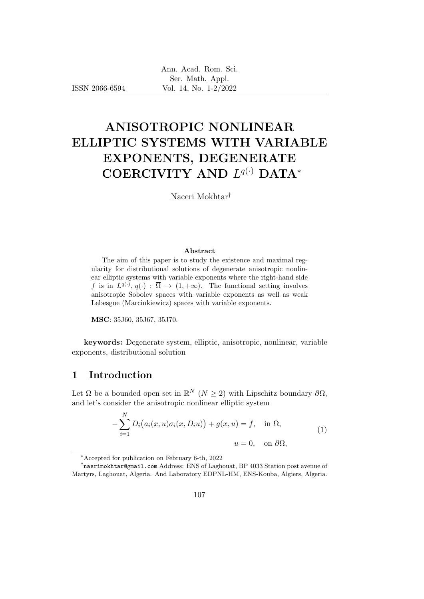ISSN 2066-6594

# ANISOTROPIC NONLINEAR ELLIPTIC SYSTEMS WITH VARIABLE EXPONENTS, DEGENERATE COERCIVITY AND  $L^{q(·)}$  DATA\*

Naceri Mokhtar†

#### Abstract

The aim of this paper is to study the existence and maximal regularity for distributional solutions of degenerate anisotropic nonlinear elliptic systems with variable exponents where the right-hand side f is in  $L^{q(\cdot)}, q(\cdot) : \overline{\Omega} \to (1, +\infty)$ . The functional setting involves anisotropic Sobolev spaces with variable exponents as well as weak Lebesgue (Marcinkiewicz) spaces with variable exponents.

MSC: 35J60, 35J67, 35J70.

keywords: Degenerate system, elliptic, anisotropic, nonlinear, variable exponents, distributional solution

# 1 Introduction

N

Let  $\Omega$  be a bounded open set in  $\mathbb{R}^N$   $(N \geq 2)$  with Lipschitz boundary  $\partial\Omega$ , and let's consider the anisotropic nonlinear elliptic system

$$
-\sum_{i=1}^{N} D_i (a_i(x, u)\sigma_i(x, D_i u)) + g(x, u) = f, \text{ in } \Omega,
$$
  
\n
$$
u = 0, \text{ on } \partial\Omega,
$$
\n(1)

<sup>∗</sup>Accepted for publication on February 6-th, 2022

<sup>†</sup> nasrimokhtar@gmail.com Address: ENS of Laghouat, BP 4033 Station post avenue of Martyrs, Laghouat, Algeria. And Laboratory EDPNL-HM, ENS-Kouba, Algiers, Algeria.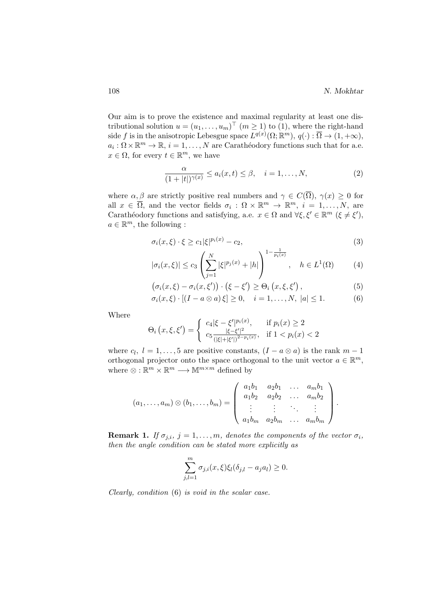Our aim is to prove the existence and maximal regularity at least one distributional solution  $u = (u_1, \ldots, u_m)^\top$   $(m \ge 1)$  to (1), where the right-hand side f is in the anisotropic Lebesgue space  $L^{q(x)}(\Omega;\mathbb{R}^m)$ ,  $q(\cdot): \overline{\Omega} \to (1, +\infty)$ ,  $a_i : \Omega \times \mathbb{R}^m \to \mathbb{R}, i = 1, \ldots, N$  are Carathéodory functions such that for a.e.  $x \in \Omega$ , for every  $t \in \mathbb{R}^m$ , we have

$$
\frac{\alpha}{(1+|t|)^{\gamma(x)}} \le a_i(x,t) \le \beta, \quad i=1,\ldots,N,
$$
\n(2)

where  $\alpha, \beta$  are strictly positive real numbers and  $\gamma \in C(\overline{\Omega}), \gamma(x) \geq 0$  for all  $x \in \overline{\Omega}$ , and the vector fields  $\sigma_i : \Omega \times \mathbb{R}^m \to \mathbb{R}^m$ ,  $i = 1, ..., N$ , are Carathéodory functions and satisfying, a.e.  $x \in \Omega$  and  $\forall \xi, \xi' \in \mathbb{R}^m$   $(\xi \neq \xi')$ ,  $a \in \mathbb{R}^m$ , the following :

$$
\sigma_i(x,\xi) \cdot \xi \ge c_1 |\xi|^{p_i(x)} - c_2,\tag{3}
$$

$$
|\sigma_i(x,\xi)| \le c_3 \left(\sum_{j=1}^N |\xi|^{p_j(x)} + |h|\right)^{1 - \frac{1}{p_i(x)}}, \quad h \in L^1(\Omega)
$$
 (4)

$$
\left(\sigma_i(x,\xi) - \sigma_i(x,\xi')\right) \cdot \left(\xi - \xi'\right) \geq \Theta_i\left(x,\xi,\xi'\right),\tag{5}
$$

$$
\sigma_i(x,\xi) \cdot [(I - a \otimes a)\xi] \ge 0, \quad i = 1,\dots,N, \ |a| \le 1. \tag{6}
$$

Where

$$
\Theta_i(x,\xi,\xi') = \begin{cases} c_4|\xi - \xi'|^{p_i(x)}, & \text{if } p_i(x) \ge 2\\ c_5 \frac{|\xi - \xi'|^2}{(|\xi| + |\xi'|)^{2 - p_i(x)}}, & \text{if } 1 < p_i(x) < 2 \end{cases}
$$

where  $c_l$ ,  $l = 1, ..., 5$  are positive constants,  $(I - a \otimes a)$  is the rank  $m - 1$ orthogonal projector onto the space orthogonal to the unit vector  $a \in \mathbb{R}^m$ , where  $\otimes : \mathbb{R}^m \times \mathbb{R}^m \longrightarrow \mathbb{M}^{m \times m}$  defined by

$$
(a_1, \ldots, a_m) \otimes (b_1, \ldots, b_m) = \begin{pmatrix} a_1b_1 & a_2b_1 & \ldots & a_mb_1 \\ a_1b_2 & a_2b_2 & \ldots & a_mb_2 \\ \vdots & \vdots & \ddots & \vdots \\ a_1b_m & a_2b_m & \ldots & a_mb_m \end{pmatrix}.
$$

**Remark 1.** If  $\sigma_{j,i}$ ,  $j = 1, \ldots, m$ , denotes the components of the vector  $\sigma_i$ , then the angle condition can be stated more explicitly as

$$
\sum_{j,l=1}^m \sigma_{j,i}(x,\xi)\xi_l(\delta_{j,l}-a_ja_l) \ge 0.
$$

Clearly, condition (6) is void in the scalar case.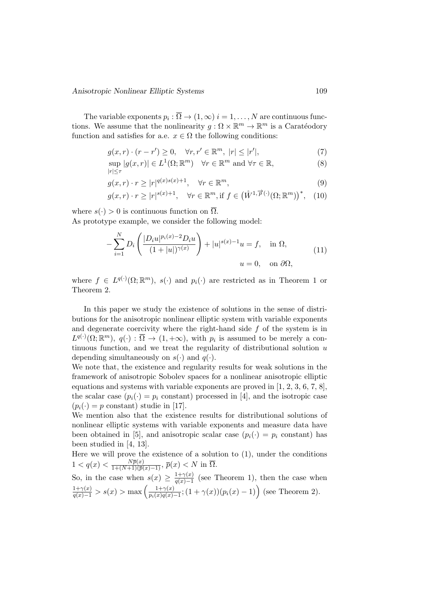The variable exponents  $p_i : \Omega \to (1,\infty)$   $i = 1,\ldots,N$  are continuous functions. We assume that the nonlinearity  $g: \Omega \times \mathbb{R}^m \to \mathbb{R}^m$  is a Caratéodory function and satisfies for a.e.  $x \in \Omega$  the following conditions:

$$
g(x,r) \cdot (r - r') \ge 0, \quad \forall r, r' \in \mathbb{R}^m, \ |r| \le |r'|,\tag{7}
$$

$$
\sup_{|r| \le \tau} |g(x,r)| \in L^1(\Omega; \mathbb{R}^m) \quad \forall r \in \mathbb{R}^m \text{ and } \forall \tau \in \mathbb{R},
$$
\n(8)

$$
g(x,r) \cdot r \ge |r|^{q(x)s(x)+1}, \quad \forall r \in \mathbb{R}^m,
$$
\n
$$
(9)
$$

$$
g(x,r) \cdot r \ge |r|^{s(x)+1}, \quad \forall r \in \mathbb{R}^m, \text{if } f \in (\mathring{W}^{1,\overrightarrow{p}(\cdot)}(\Omega; \mathbb{R}^m))^*, \quad (10)
$$

where  $s(\cdot) > 0$  is continuous function on  $\overline{\Omega}$ . As prototype example, we consider the following model:

$$
-\sum_{i=1}^{N} D_i \left( \frac{|D_i u|^{p_i(x)-2} D_i u}{(1+|u|)^{\gamma(x)}} \right) + |u|^{s(x)-1} u = f, \text{ in } \Omega,
$$
  
\n
$$
u = 0, \text{ on } \partial \Omega,
$$
\n(11)

where  $f \in L^{q(\cdot)}(\Omega;\mathbb{R}^m)$ ,  $s(\cdot)$  and  $p_i(\cdot)$  are restricted as in Theorem 1 or Theorem 2.

In this paper we study the existence of solutions in the sense of distributions for the anisotropic nonlinear elliptic system with variable exponents and degenerate coercivity where the right-hand side  $f$  of the system is in  $L^{q(\cdot)}(\Omega;\mathbb{R}^m)$ ,  $q(\cdot): \overline{\Omega} \to (1, +\infty)$ , with  $p_i$  is assumed to be merely a continuous function, and we treat the regularity of distributional solution  $u$ depending simultaneously on  $s(\cdot)$  and  $q(\cdot)$ .

We note that, the existence and regularity results for weak solutions in the framework of anisotropic Sobolev spaces for a nonlinear anisotropic elliptic equations and systems with variable exponents are proved in  $[1, 2, 3, 6, 7, 8]$ , the scalar case  $(p_i(\cdot) = p_i \text{ constant})$  processed in [4], and the isotropic case  $(p_i(\cdot) = p \text{ constant})$  studie in [17].

We mention also that the existence results for distributional solutions of nonlinear elliptic systems with variable exponents and measure data have been obtained in [5], and anisotropic scalar case  $(p_i(\cdot) = p_i \text{ constant})$  has been studied in [4, 13].

Here we will prove the existence of a solution to  $(1)$ , under the conditions  $1 < q(x) < \frac{N\bar{p}(x)}{1 + (N+1)(\bar{p}(x) - 1)}, \, \bar{p}(x) < N \text{ in } \overline{\Omega}.$ 

So, in the case when  $s(x) \geq \frac{1+\gamma(x)}{a(x)-1}$  $\frac{1+\gamma(x)}{q(x)-1}$  (see Theorem 1), then the case when  $\frac{1+\gamma(x)}{q(x)-1} > s(x) > \max\left(\frac{1+\gamma(x)}{p_i(x)q(x)}\right)$  $\frac{1+\gamma(x)}{p_i(x)q(x)-1}$ ;  $(1+\gamma(x))(p_i(x)-1)$  (see Theorem 2).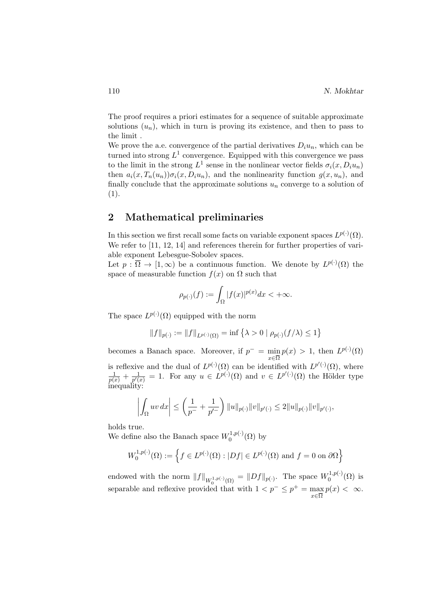The proof requires a priori estimates for a sequence of suitable approximate solutions  $(u_n)$ , which in turn is proving its existence, and then to pass to the limit .

We prove the a.e. convergence of the partial derivatives  $D_i u_n$ , which can be turned into strong  $L^1$  convergence. Equipped with this convergence we pass to the limit in the strong  $L^1$  sense in the nonlinear vector fields  $\sigma_i(x, D_i u_n)$ then  $a_i(x, T_n(u_n))\sigma_i(x, D_iu_n)$ , and the nonlinearity function  $g(x, u_n)$ , and finally conclude that the approximate solutions  $u_n$  converge to a solution of (1).

# 2 Mathematical preliminaries

In this section we first recall some facts on variable exponent spaces  $L^{p(\cdot)}(\Omega)$ . We refer to [11, 12, 14] and references therein for further properties of variable exponent Lebesgue-Sobolev spaces.

Let  $p : \overline{\Omega} \to [1, \infty)$  be a continuous function. We denote by  $L^{p(\cdot)}(\Omega)$  the space of measurable function  $f(x)$  on  $\Omega$  such that

$$
\rho_{p(\cdot)}(f) := \int_{\Omega} |f(x)|^{p(x)} dx < +\infty.
$$

The space  $L^{p(\cdot)}(\Omega)$  equipped with the norm

$$
||f||_{p(\cdot)} := ||f||_{L^{p(\cdot)}(\Omega)} = \inf \{ \lambda > 0 \mid \rho_{p(\cdot)}(f/\lambda) \le 1 \}
$$

becomes a Banach space. Moreover, if  $p^- = \min$  $x\in\overline{\Omega}$  $p(x) > 1$ , then  $L^{p(\cdot)}(\Omega)$ is reflexive and the dual of  $L^{p(\cdot)}(\Omega)$  can be identified with  $L^{p'(\cdot)}(\Omega)$ , where  $\frac{1}{p(x)} + \frac{1}{p'(x)}$  $\frac{1}{p'(x)} = 1$ . For any  $u \in L^{p(\cdot)}(\Omega)$  and  $v \in L^{p'(\cdot)}(\Omega)$  the Hölder type inequality:

$$
\left| \int_{\Omega} uv \, dx \right| \leq \left( \frac{1}{p^{-}} + \frac{1}{p'^{-}} \right) ||u||_{p(\cdot)} ||v||_{p'(\cdot)} \leq 2||u||_{p(\cdot)} ||v||_{p'(\cdot)},
$$

holds true.

We define also the Banach space  $W_0^{1,p(\cdot)}$  $\mathfrak{h}^{(1,p(\cdot))}_{0}(\Omega)$  by

$$
W_0^{1,p(\cdot)}(\Omega) := \left\{ f \in L^{p(\cdot)}(\Omega) : |Df| \in L^{p(\cdot)}(\Omega) \text{ and } f = 0 \text{ on } \partial\Omega \right\}
$$

endowed with the norm  $||f||_{W_0^{1,p(\cdot)}(\Omega)} = ||Df||_{p(\cdot)}$ . The space  $W_0^{1,p(\cdot)}$ separable and reflexive provided that with  $1 < p^- \le p^+ = \max$  $\binom{1,p(\cdot)}{0}$  is x∈Ω  $p(x) < \infty$ .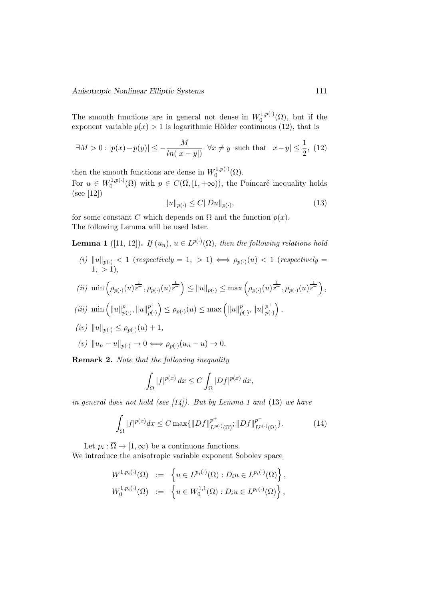The smooth functions are in general not dense in  $W_0^{1,p(.)}$  $\binom{1,p(\cdot)}{0}$  ( $\Omega$ ), but if the exponent variable  $p(x) > 1$  is logarithmic Hölder continuous (12), that is

$$
\exists M > 0 : |p(x) - p(y)| \le -\frac{M}{\ln(|x - y|)} \quad \forall x \ne y \text{ such that } |x - y| \le \frac{1}{2}, \tag{12}
$$

then the smooth functions are dense in  $W_0^{1,p(\cdot)}$  $\mathcal{O}^{(1,p(\cdot))}(\Omega).$ 

For  $u \in W_0^{1,p(\cdot)}$  $0^{(1,p(\cdot))}(\Omega)$  with  $p \in C(\overline{\Omega}, [1,+\infty))$ , the Poincaré inequality holds (see [12])

$$
||u||_{p(\cdot)} \le C||Du||_{p(\cdot)},\tag{13}
$$

for some constant C which depends on  $\Omega$  and the function  $p(x)$ . The following Lemma will be used later.

**Lemma 1** ([11, 12]). If  $(u_n)$ ,  $u \in L^{p(\cdot)}(\Omega)$ , then the following relations hold

(i)  $||u||_{p(\cdot)} < 1$  (respectively = 1, > 1)  $\iff \rho_{p(\cdot)}(u) < 1$  (respectively =  $1, > 1$ ),

(*ii*) min 
$$
\left(\rho_{p(\cdot)}(u)^{\frac{1}{p^+}}, \rho_{p(\cdot)}(u)^{\frac{1}{p^-}}\right) \le ||u||_{p(\cdot)} \le \max\left(\rho_{p(\cdot)}(u)^{\frac{1}{p^+}}, \rho_{p(\cdot)}(u)^{\frac{1}{p^-}}\right),
$$

$$
(iii) \ \min\left(\|u\|_{p(\cdot)}^{p^-},\|u\|_{p(\cdot)}^{p^+}\right) \leq \rho_{p(\cdot)}(u) \leq \max\left(\|u\|_{p(\cdot)}^{p^-},\|u\|_{p(\cdot)}^{p^+}\right),\,
$$

$$
(iv) \|u\|_{p(\cdot)} \le \rho_{p(\cdot)}(u) + 1,
$$

$$
(v) \|u_n - u\|_{p(\cdot)} \to 0 \iff \rho_{p(\cdot)}(u_n - u) \to 0.
$$

Remark 2. Note that the following inequality

$$
\int_{\Omega} |f|^{p(x)} dx \le C \int_{\Omega} |Df|^{p(x)} dx,
$$

in general does not hold (see  $(14)$ ). But by Lemma 1 and (13) we have

$$
\int_{\Omega} |f|^{p(x)} dx \le C \max\{ \|Df\|_{L^{p(\cdot)}(\Omega)}^{p^+}; \|Df\|_{L^{p(\cdot)}(\Omega)}^{p^-}\}. \tag{14}
$$

Let  $p_i : \overline{\Omega} \to [1, \infty)$  be a continuous functions.

We introduce the anisotropic variable exponent Sobolev space

$$
W^{1,p_i(\cdot)}(\Omega) := \left\{ u \in L^{p_i(\cdot)}(\Omega) : D_i u \in L^{p_i(\cdot)}(\Omega) \right\},
$$
  

$$
W_0^{1,p_i(\cdot)}(\Omega) := \left\{ u \in W_0^{1,1}(\Omega) : D_i u \in L^{p_i(\cdot)}(\Omega) \right\},
$$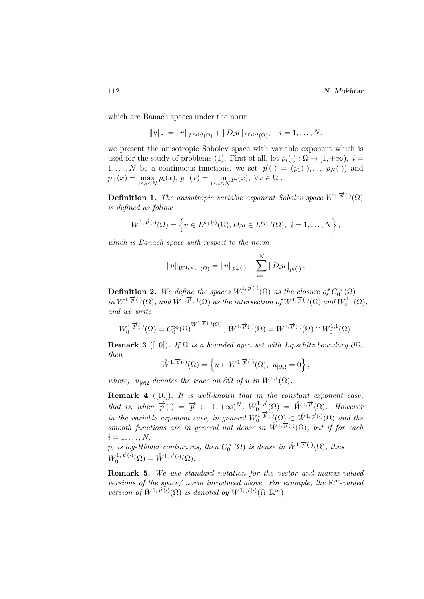which are Banach spaces under the norm

$$
||u||_i := ||u||_{L^{p_i(\cdot)}(\Omega)} + ||D_i u||_{L^{p_i(\cdot)}(\Omega)}, \quad i = 1, \ldots, N.
$$

we present the anisotropic Sobolev space with variable exponent which is used for the study of problems (1). First of all, let  $p_i(\cdot): \Omega \to [1, +\infty), i =$  $1, \ldots, N$  be a continuous functions, we set  $\overrightarrow{p}(\cdot) = (p_1(\cdot), \ldots, p_N(\cdot))$  and  $p_{+}(x) = \max_{1 \leq i \leq N} p_{i}(x), p_{-}(x) = \min_{1 \leq i \leq N} p_{i}(x), \ \forall x \in \overline{\Omega}.$ 

**Definition 1.** The anisotropic variable exponent Sobolev space  $W^{1,\overrightarrow{p}(\cdot)}(\Omega)$ is defined as follow

$$
W^{1,\overrightarrow{p}(\cdot)}(\Omega)=\left\{u\in L^{p+(\cdot)}(\Omega), D_iu\in L^{p_i(\cdot)}(\Omega),\ i=1,\ldots,N\right\},\
$$

which is Banach space with respect to the norm

$$
||u||_{W^{1,\overrightarrow{p}(\cdot)}(\Omega)} = ||u||_{p_{+}(\cdot)} + \sum_{i=1}^{N} ||D_i u||_{p_i(\cdot)}.
$$

**Definition 2.** We define the spaces  $W_0^{1,\overrightarrow{p}}(\cdot)$  $\int_0^{1,\,p(\cdot)} (\Omega)$  as the closure of  $C_0^{\infty}(\Omega)$ in  $W^{1,\overrightarrow{p}(\cdot)}(\Omega)$ , and  $\mathring{W}^{1,\overrightarrow{p}(\cdot)}(\Omega)$  as the intersection of  $W^{1,\overrightarrow{p}(\cdot)}(\Omega)$  and  $W^{1,1}_{0}$  ${\zeta_0^{1,1}(\Omega)},$ and we write

$$
W_0^{1,\overrightarrow{p}(\cdot)}(\Omega) = \overline{C_0^{\infty}(\Omega)}^{W^{1,\overrightarrow{p}(\cdot)}(\Omega)}, \overrightarrow{W}^{1,\overrightarrow{p}(\cdot)}(\Omega) = W^{1,\overrightarrow{p}(\cdot)}(\Omega) \cap W_0^{1,1}(\Omega).
$$

**Remark 3** ([10]). If  $\Omega$  is a bounded open set with Lipschitz boundary  $\partial\Omega$ , then

$$
\mathring{W}^{1,\overrightarrow{p}(\cdot)}(\Omega) = \left\{ u \in W^{1,\overrightarrow{p}(\cdot)}(\Omega), \ u_{|\partial\Omega} = 0 \right\},\,
$$

where,  $u_{|\partial\Omega}$  denotes the trace on  $\partial\Omega$  of u in  $W^{1,1}(\Omega)$ .

**Remark 4** ( $[10]$ ). It is well-known that in the constant exponent case, that is, when  $\overrightarrow{p}(\cdot) = \overrightarrow{p} \in [1, +\infty)^N$ ,  $W_0^{1, \overrightarrow{p}}$  $\tilde{W}^{1,\overrightarrow{p}}_0(\Omega) = \mathring{W}^{1,\overrightarrow{p}}(\Omega)$ . However in the variable exponent case, in general  $W_0^{1,\overrightarrow{p}}(\cdot)$  $\widetilde{\Phi}_0^{1,\overrightarrow{p}(\cdot)}(\Omega) \subset \mathring{W}^{1,\overrightarrow{p}(\cdot)}(\Omega)$  and the smooth functions are in general not dense in  $\mathring{W}^{1,\overrightarrow{p}(\cdot)}(\Omega)$ , but if for each  $i=1,\ldots,N,$ 

 $p_i$  is log-Hölder continuous, then  $C_0^{\infty}(\Omega)$  is dense in  $\mathring{W}^{1,\overrightarrow{p}(\cdot)}(\Omega)$ , thus  $W_0^{1,\overrightarrow{p}(\cdot)}$  $\tilde{W}^{1,\overrightarrow{p}(\cdot)}(\Omega) = \mathring{W}^{1,\overrightarrow{p}(\cdot)}(\Omega).$ 

Remark 5. We use standard notation for the vector and matrix-valued versions of the space/norm introduced above. For example, the  $\mathbb{R}^m$ -valued version of  $\mathring{W}^{1,\overrightarrow{p}(\cdot)}(\Omega)$  is denoted by  $\mathring{W}^{1,\overrightarrow{p}(\cdot)}(\Omega;\mathbb{R}^m)$ .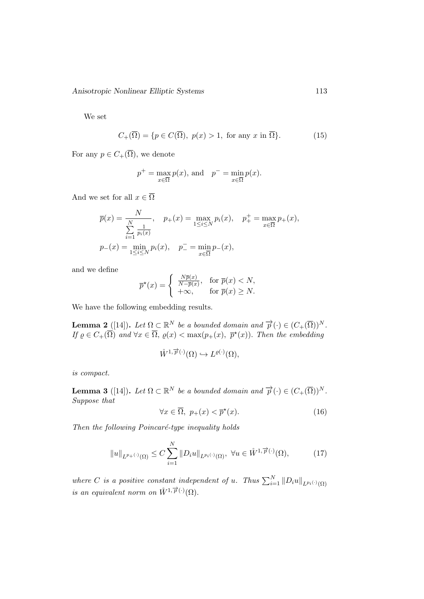Anisotropic Nonlinear Elliptic Systems 113

We set

$$
C_{+}(\overline{\Omega}) = \{ p \in C(\overline{\Omega}), \ p(x) > 1, \text{ for any } x \text{ in } \overline{\Omega} \}. \tag{15}
$$

For any  $p \in C_+(\overline{\Omega})$ , we denote

$$
p^+ = \max_{x \in \overline{\Omega}} p(x)
$$
, and  $p^- = \min_{x \in \overline{\Omega}} p(x)$ .

And we set for all  $x \in \overline{\Omega}$ 

$$
\overline{p}(x) = \frac{N}{\sum_{i=1}^{N} \frac{1}{p_i(x)}}, \quad p_+(x) = \max_{1 \le i \le N} p_i(x), \quad p_+^+ = \max_{x \in \overline{\Omega}} p_+(x),
$$
  

$$
p_-(x) = \min_{1 \le i \le N} p_i(x), \quad p_-^- = \min_{x \in \overline{\Omega}} p_-(x),
$$

and we define

$$
\overline{p}^{\star}(x) = \begin{cases} \frac{N\overline{p}(x)}{N - \overline{p}(x)}, & \text{for } \overline{p}(x) < N, \\ +\infty, & \text{for } \overline{p}(x) \ge N. \end{cases}
$$

We have the following embedding results.

**Lemma 2** ([14]). Let  $\Omega \subset \mathbb{R}^N$  be a bounded domain and  $\overrightarrow{p}(\cdot) \in (C_+(\overline{\Omega}))^N$ . If  $\varrho \in C_+(\overline{\Omega})$  and  $\forall x \in \overline{\Omega}$ ,  $\varrho(x) < \max(p_+(x), p^*(x))$ . Then the embedding

$$
\mathring{W}^{1,\overrightarrow{p}(\cdot)}(\Omega) \hookrightarrow L^{\varrho(\cdot)}(\Omega),
$$

is compact.

**Lemma 3** ([14]). Let  $\Omega \subset \mathbb{R}^N$  be a bounded domain and  $\overrightarrow{p}(\cdot) \in (C_+(\overline{\Omega}))^N$ . Suppose that

$$
\forall x \in \overline{\Omega}, \ p_{+}(x) < \overline{p}^{\star}(x). \tag{16}
$$

Then the following Poincaré-type inequality holds

$$
||u||_{L^{p+(\cdot)}(\Omega)} \leq C \sum_{i=1}^{N} ||D_i u||_{L^{p_i(\cdot)}(\Omega)}, \ \forall u \in \mathring{W}^{1, \overrightarrow{p}(\cdot)}(\Omega), \tag{17}
$$

where C is a positive constant independent of u. Thus  $\sum_{i=1}^{N} ||D_i u||_{L^{p_i(\cdot)}(\Omega)}$ is an equivalent norm on  $\mathring{W}^{1,\overrightarrow{p}(\cdot)}(\Omega)$ .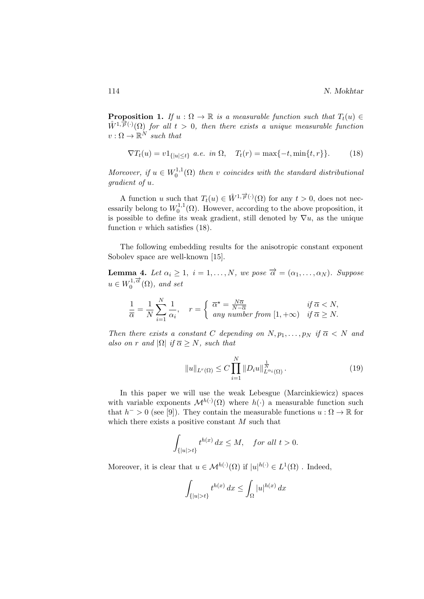**Proposition 1.** If  $u : \Omega \to \mathbb{R}$  is a measurable function such that  $T_t(u) \in$  $\hat{W}^{1,\overrightarrow{p}(\cdot)}(\Omega)$  for all  $t > 0$ , then there exists a unique measurable function  $v: \Omega \to \mathbb{R}^N$  such that

$$
\nabla T_t(u) = v1_{\{|u| \le t\}} \ a.e. \ in \ \Omega, \quad T_t(r) = \max\{-t, \min\{t, r\}\}. \tag{18}
$$

Moreover, if  $u \in W_0^{1,1}$  $\mathcal{O}_0^{1,1}(\Omega)$  then v coincides with the standard distributional gradient of u.

A function u such that  $T_t(u) \in \mathring{W}^{1,\overrightarrow{p}(\cdot)}(\Omega)$  for any  $t > 0$ , does not necessarily belong to  $W_0^{1,1}$  $\mathcal{O}_0^{1,1}(\Omega)$ . However, according to the above proposition, it is possible to define its weak gradient, still denoted by  $\nabla u$ , as the unique function  $v$  which satisfies  $(18)$ .

The following embedding results for the anisotropic constant exponent Sobolev space are well-known [15].

**Lemma 4.** Let  $\alpha_i \geq 1$ ,  $i = 1, ..., N$ , we pose  $\overrightarrow{\alpha} = (\alpha_1, ..., \alpha_N)$ . Suppose  $u \in W_0^{1,\overrightarrow{\alpha}}$  $\int_0^{1,\alpha} (\Omega)$ , and set

$$
\frac{1}{\overline{\alpha}} = \frac{1}{N} \sum_{i=1}^{N} \frac{1}{\alpha_i}, \quad r = \begin{cases} \overline{\alpha}^* = \frac{N\overline{\alpha}}{N-\overline{\alpha}} & \text{if } \overline{\alpha} < N, \\ \text{any number from } [1, +\infty) & \text{if } \overline{\alpha} \ge N. \end{cases}
$$

Then there exists a constant C depending on  $N, p_1, \ldots, p_N$  if  $\overline{\alpha} \langle N \rangle$  and also on r and  $|\Omega|$  if  $\overline{\alpha} \geq N$ , such that

$$
||u||_{L^{r}(\Omega)} \leq C \prod_{i=1}^{N} ||D_i u||_{L^{\alpha_i}(\Omega)}^{\frac{1}{N}}.
$$
\n(19)

In this paper we will use the weak Lebesgue (Marcinkiewicz) spaces with variable exponents  $\mathcal{M}^{h(\cdot)}(\Omega)$  where  $h(\cdot)$  a measurable function such that  $h^{-} > 0$  (see [9]). They contain the measurable functions  $u : \Omega \to \mathbb{R}$  for which there exists a positive constant  $M$  such that

$$
\int_{\{|u|>t\}} t^{h(x)} dx \le M, \quad \text{for all } t > 0.
$$

Moreover, it is clear that  $u \in \mathcal{M}^{h(\cdot)}(\Omega)$  if  $|u|^{h(\cdot)} \in L^1(\Omega)$ . Indeed,

$$
\int_{\{|u|>t\}} t^{h(x)} dx \le \int_{\Omega} |u|^{h(x)} dx
$$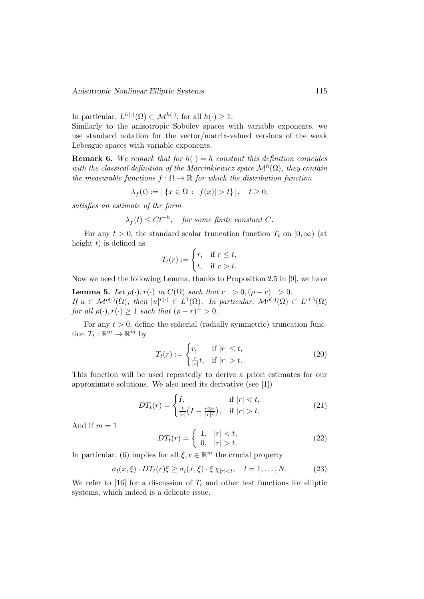In particular,  $L^{h(\cdot)}(\Omega) \subset \mathcal{M}^{h(\cdot)}$ , for all  $h(\cdot) \geq 1$ .

Similarly to the anisotropic Sobolev spaces with variable exponents, we use standard notation for the vector/matrix-valued versions of the weak Lebesgue spaces with variable exponents.

**Remark 6.** We remark that for  $h(\cdot) = h$  constant this definition coincides with the classical definition of the Marcinkiewicz space  $\mathcal{M}^h(\Omega)$ , they contain the measurable functions  $f : \Omega \to \mathbb{R}$  for which the distribution function

$$
\lambda_f(t) := | \{ x \in \Omega : |f(x)| > t \} |, \quad t \ge 0,
$$

satisfies an estimate of the form

$$
\lambda_f(t) \le Ct^{-h}, \quad \text{for some finite constant } C.
$$

For any  $t > 0$ , the standard scalar truncation function  $T_t$  on  $[0, \infty)$  (at height  $t$ ) is defined as

$$
T_t(r) := \begin{cases} r, & \text{if } r \le t, \\ t, & \text{if } r > t. \end{cases}
$$

Now we need the following Lemma, thanks to Proposition 2.5 in [9], we have

**Lemma 5.** Let  $\rho(\cdot), r(\cdot)$  in  $C(\overline{\Omega})$  such that  $r^{-} > 0, (\rho - r)^{-} > 0$ . If  $u \in \mathcal{M}^{\rho(\cdot)}(\Omega)$ , then  $|u|^{r(\cdot)} \in L^1(\Omega)$ . In particular,  $\mathcal{M}^{\rho(\cdot)}(\Omega) \subset L^{r(\cdot)}(\Omega)$ for all  $\rho(\cdot), r(\cdot) \geq 1$  such that  $(\rho - r)^{-} > 0$ .

For any  $t > 0$ , define the spherial (radially symmetric) truncation function  $T_t : \mathbb{R}^m \to \mathbb{R}^m$  by

$$
T_t(r) := \begin{cases} r, & \text{if } |r| \le t, \\ \frac{r}{|r|}t, & \text{if } |r| > t. \end{cases} \tag{20}
$$

This function will be used repeatedly to derive a priori estimates for our approximate solutions. We also need its derivative (see [1])

$$
DT_t(r) = \begin{cases} I, & \text{if } |r| < t, \\ \frac{t}{|r|} \left( I - \frac{r \otimes r}{|r|^2} \right), & \text{if } |r| > t. \end{cases} \tag{21}
$$

And if  $m = 1$ 

$$
DT_t(r) = \begin{cases} 1, & |r| < t, \\ 0, & |r| > t. \end{cases}
$$
 (22)

In particular, (6) implies for all  $\xi, r \in \mathbb{R}^m$  the crucial property

$$
\sigma_l(x,\xi) \cdot DT_t(r)\xi \ge \sigma_l(x,\xi) \cdot \xi \chi_{|r| < t}, \quad l = 1,\dots,N. \tag{23}
$$

We refer to [16] for a discussion of  $T_t$  and other test functions for elliptic systems, which indeed is a delicate issue.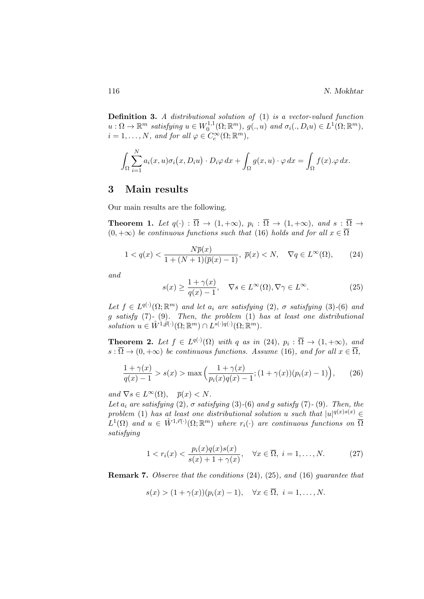Definition 3. A distributional solution of (1) is a vector-valued function  $u:\Omega\to\mathbb{R}^m$  satisfying  $u\in W_0^{1,1}$  $C_0^{1,1}(\Omega;\mathbb{R}^m)$ ,  $g(.,u)$  and  $\sigma_i(.,D_iu) \in L^1(\Omega;\mathbb{R}^m)$ ,  $i = 1, \ldots, N$ , and for all  $\varphi \in C_c^{\infty}(\Omega; \mathbb{R}^m)$ ,

$$
\int_{\Omega} \sum_{i=1}^{N} a_i(x, u) \sigma_i(x, D_i u) \cdot D_i \varphi \, dx + \int_{\Omega} g(x, u) \cdot \varphi \, dx = \int_{\Omega} f(x) \cdot \varphi \, dx.
$$

## 3 Main results

Our main results are the following.

**Theorem 1.** Let  $q(\cdot) : \Omega \to (1, +\infty)$ ,  $p_i : \Omega \to (1, +\infty)$ , and  $s : \Omega \to$  $(0, +\infty)$  be continuous functions such that (16) holds and for all  $x \in \overline{\Omega}$ 

$$
1 < q(x) < \frac{N\overline{p}(x)}{1 + (N+1)(\overline{p}(x) - 1)}, \ \overline{p}(x) < N, \quad \nabla q \in L^{\infty}(\Omega), \tag{24}
$$

and

$$
s(x) \ge \frac{1 + \gamma(x)}{q(x) - 1}, \quad \nabla s \in L^{\infty}(\Omega), \nabla \gamma \in L^{\infty}.
$$
 (25)

Let  $f \in L^{q(\cdot)}(\Omega;\mathbb{R}^m)$  and let  $a_i$  are satisfying  $(2)$ ,  $\sigma$  satisfying  $(3)-(6)$  and g satisfy (7)- (9). Then, the problem (1) has at least one distributional solution  $u \in \mathring{W}^{1,\overrightarrow{p}(\cdot)}(\Omega;\mathbb{R}^m) \cap L^{s(\cdot)q(\cdot)}(\Omega;\mathbb{R}^m)$ .

**Theorem 2.** Let  $f \in L^{q(\cdot)}(\Omega)$  with q as in (24),  $p_i : \overline{\Omega} \to (1, +\infty)$ , and  $s : \overline{\Omega} \to (0, +\infty)$  be continuous functions. Assume (16), and for all  $x \in \overline{\Omega}$ ,

$$
\frac{1+\gamma(x)}{q(x)-1} > s(x) > \max\left(\frac{1+\gamma(x)}{p_i(x)q(x)-1}; (1+\gamma(x))(p_i(x)-1)\right),\tag{26}
$$

and  $\nabla s \in L^{\infty}(\Omega)$ ,  $\overline{p}(x) < N$ .

Let  $a_i$  are satisfying (2),  $\sigma$  satisfying (3)-(6) and g satisfy (7)-(9). Then, the problem (1) has at least one distributional solution u such that  $|u|^{q(x)s(x)} \in$  $L^1(\Omega)$  and  $u \in \mathring{W}^{1,\vec{r}(\cdot)}(\Omega;\mathbb{R}^m)$  where  $r_i(\cdot)$  are continuous functions on  $\overline{\Omega}$ satisfying

$$
1 < r_i(x) < \frac{p_i(x)q(x)s(x)}{s(x) + 1 + \gamma(x)}, \quad \forall x \in \overline{\Omega}, \ i = 1, \dots, N. \tag{27}
$$

Remark 7. Observe that the conditions (24), (25), and (16) guarantee that

$$
s(x) > (1 + \gamma(x))(p_i(x) - 1), \quad \forall x \in \overline{\Omega}, \ i = 1, \dots, N.
$$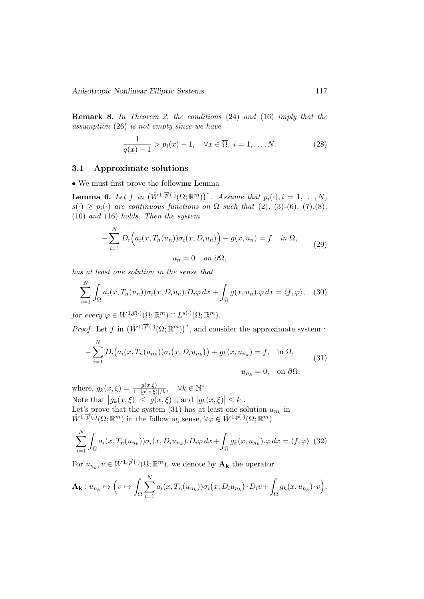Anisotropic Nonlinear Elliptic Systems 117

Remark 8. In Theorem 2, the conditions (24) and (16) imply that the assumption (26) is not empty since we have

$$
\frac{1}{q(x)-1} > p_i(x)-1, \quad \forall x \in \overline{\Omega}, \ i = 1, \dots, N. \tag{28}
$$

#### 3.1 Approximate solutions

• We must first prove the following Lemma

**Lemma 6.** Let f in  $(\mathring{W}^{1,\overrightarrow{p}(\cdot)}(\Omega;\mathbb{R}^m))^*$ . Assume that  $p_i(\cdot), i = 1, \ldots, N$ ,  $s(\cdot) \geq p_i(\cdot)$  are continuous functions on  $\Omega$  such that (2), (3)-(6), (7),(8), (10) and (16) holds. Then the system

$$
-\sum_{i=1}^{N} D_i \Big( a_i(x, T_n(u_n)) \sigma_i(x, D_i u_n) \Big) + g(x, u_n) = f \quad in \ \Omega,
$$
  

$$
u_n = 0 \quad on \ \partial \Omega,
$$
 (29)

has at least one solution in the sense that

$$
\sum_{i=1}^{N} \int_{\Omega} a_i(x, T_n(u_n)) \sigma_i(x, D_i u_n) \cdot D_i \varphi \, dx + \int_{\Omega} g(x, u_n) \cdot \varphi \, dx = \langle f, \varphi \rangle, \quad (30)
$$

for every  $\varphi \in \mathring{W}^{1,\vec{p}(\cdot)}(\Omega;\mathbb{R}^m) \cap L^{s(\cdot)}(\Omega;\mathbb{R}^m)$ .

*Proof.* Let f in  $(\mathring{W}^{1,\overrightarrow{p}(\cdot)}(\Omega;\mathbb{R}^m))^*$ , and consider the approximate system :

$$
-\sum_{i=1}^{N} D_i \big(a_i(x, T_n(u_{n_k})) \sigma_i(x, D_i u_{n_k})\big) + g_k(x, u_{n_k}) = f, \text{ in } \Omega,
$$
\n
$$
u_{n_k} = 0, \text{ on } \partial\Omega,
$$
\n(31)

where,  $g_k(x,\xi) = \frac{g(x,\xi)}{1+|g(x,\xi)|/k}, \quad \forall k \in \mathbb{N}^*.$ Note that  $|g_k(x,\xi)| \leq |g(x,\xi)|$ , and  $|g_k(x,\xi)| \leq k$ . Let's prove that the system (31) has at least one solution  $u_{n_k}$  in  $\hat{W}^{1,\overrightarrow{p}(\cdot)}(\Omega;\mathbb{R}^m)$  in the following sense,  $\forall \varphi \in \hat{W}^{1,\overrightarrow{p}(\cdot)}(\Omega;\mathbb{R}^m)$ 

$$
\sum_{i=1}^{N} \int_{\Omega} a_i(x, T_n(u_{n_k})) \sigma_i(x, D_i u_{n_k}). D_i \varphi \, dx + \int_{\Omega} g_k(x, u_{n_k}). \varphi \, dx = \langle f, \varphi \rangle \tag{32}
$$

For  $u_{n_k}, v \in \mathring{W}^{1, \overrightarrow{p}(\cdot)}(\Omega; \mathbb{R}^m)$ , we denote by  $\mathbf{A}_{\mathbf{k}}$  the operator

$$
\mathbf{A}_{\mathbf{k}}: u_{n_k} \mapsto \Big(v \mapsto \int_{\Omega} \sum_{i=1}^N a_i(x, T_n(u_{n_k})) \sigma_i(x, D_i u_{n_k}) \cdot D_i v + \int_{\Omega} g_k(x, u_{n_k}) \cdot v\Big).
$$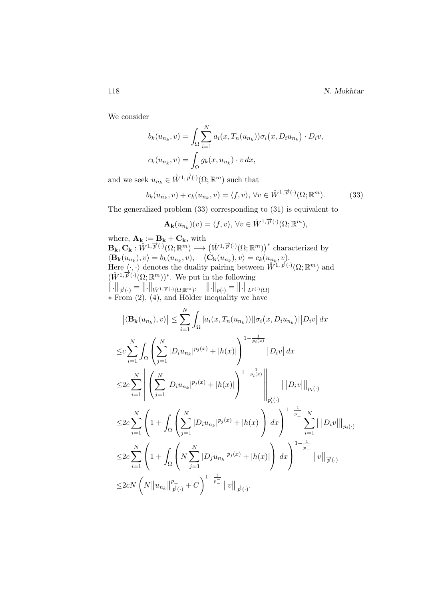We consider

$$
b_k(u_{n_k}, v) = \int_{\Omega} \sum_{i=1}^N a_i(x, T_n(u_{n_k})) \sigma_i(x, D_i u_{n_k}) \cdot D_i v,
$$
  

$$
c_k(u_{n_k}, v) = \int_{\Omega} g_k(x, u_{n_k}) \cdot v \, dx,
$$

and we seek  $u_{n_k} \in \mathring{W}^{1,\overrightarrow{p}(\cdot)}(\Omega;\mathbb{R}^m)$  such that

$$
b_k(u_{n_k}, v) + c_k(u_{n_k}, v) = \langle f, v \rangle, \forall v \in \mathring{W}^{1, \overrightarrow{p}(\cdot)}(\Omega; \mathbb{R}^m). \tag{33}
$$

The generalized problem (33) corresponding to (31) is equivalent to

$$
\mathbf{A}_{\mathbf{k}}(u_{n_{k}})(v) = \langle f, v \rangle, \,\forall v \in \mathring{W}^{1, \overrightarrow{p}(\cdot)}(\Omega; \mathbb{R}^{m}),
$$

where,  $\mathbf{A}_{\mathbf{k}} := \mathbf{B}_{\mathbf{k}} + \mathbf{C}_{\mathbf{k}}$ , with  $\mathbf{B_k}, \mathbf{C_k}: \mathring{W}^{1, \overrightarrow{p}(\cdot)}(\Omega; \mathbb{R}^m) \longrightarrow (\mathring{W}^{1, \overrightarrow{p}(\cdot)}(\Omega; \mathbb{R}^m))^*$  characterized by  $\langle \mathbf{B}_{\mathbf{k}}(u_{n_k}), v \rangle = b_k(u_{n_k}, v), \quad \langle \mathbf{C}_{\mathbf{k}}(u_{n_k}), v \rangle = c_k(u_{n_k}, v).$ Here  $\langle \cdot, \cdot \rangle$  denotes the duality pairing between  $\mathring{W}^{1, \vec{p}(\cdot)}(\Omega; \mathbb{R}^m)$  and  $(\hat{W}^{1,\overrightarrow{p}(\cdot)}(\Omega;\mathbb{R}^m))^*$ . We put in the following  $\left\Vert .\right\Vert _{\overrightarrow{p}\left(\cdot\right)}=\left\Vert .\right\Vert _{\mathring{W}^{1,\overrightarrow{p}\left(\cdot\right)}\left(\Omega;\mathbb{R}^{m}\right)},\quad\left\Vert .\right\Vert _{p\left(\cdot\right)}=\left\Vert .\right\Vert _{L^{p\left(\cdot\right)}\left(\Omega\right)}$  $*$  From  $(2)$ ,  $(4)$ , and Hölder inequality we have N

$$
\left| \langle \mathbf{B}_{\mathbf{k}}(u_{n_{k}}), v \rangle \right| \leq \sum_{i=1}^{N} \int_{\Omega} |a_{i}(x, T_{n}(u_{n_{k}}))| |\sigma_{i}(x, D_{i}u_{n_{k}})| |D_{i}v| dx
$$
  
\n
$$
\leq c \sum_{i=1}^{N} \int_{\Omega} \left( \sum_{j=1}^{N} |D_{i}u_{n_{k}}|^{p_{j}(x)} + |h(x)| \right)^{1 - \frac{1}{p_{i}(x)}} |D_{i}v| dx
$$
  
\n
$$
\leq 2c \sum_{i=1}^{N} \left| \left( \sum_{j=1}^{N} |D_{i}u_{n_{k}}|^{p_{j}(x)} + |h(x)| \right)^{1 - \frac{1}{p_{i}(x)}} \right| \left\| |D_{i}v| \right\|_{p_{i}(\cdot)}
$$
  
\n
$$
\leq 2c \sum_{i=1}^{N} \left( 1 + \int_{\Omega} \left( \sum_{j=1}^{N} |D_{i}u_{n_{k}}|^{p_{j}(x)} + |h(x)| \right) dx \right)^{1 - \frac{1}{p_{i}}} \sum_{i=1}^{N} |||D_{i}v|||_{p_{i}(\cdot)}
$$
  
\n
$$
\leq 2c \sum_{i=1}^{N} \left( 1 + \int_{\Omega} \left( N \sum_{j=1}^{N} |D_{j}u_{n_{k}}|^{p_{j}(x)} + |h(x)| \right) dx \right)^{1 - \frac{1}{p_{i}}} ||v||_{\overrightarrow{p}(\cdot)}
$$
  
\n
$$
\leq 2c N \left( N ||u_{n_{k}}||_{\overrightarrow{p}(\cdot)}^{\frac{p_{i}}{p_{i}}} + C \right)^{1 - \frac{1}{p_{i}}} ||v||_{\overrightarrow{p}(\cdot)}.
$$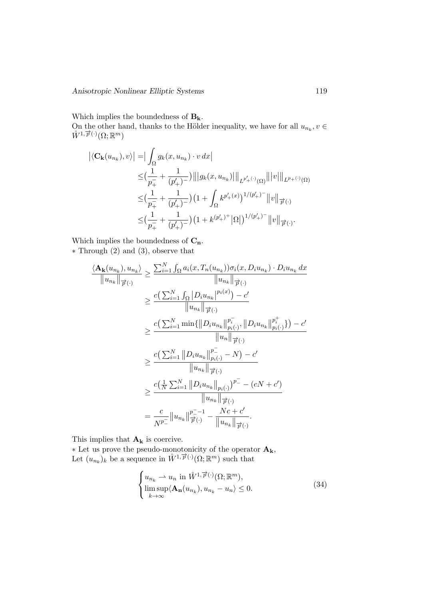Which implies the boundedness of  $B_k$ .

On the other hand, thanks to the Hölder inequality, we have for all  $u_{n_k}, v \in$  $\overrightarrow{W}^{1,\overrightarrow{p}(\cdot)}(\Omega;\mathbb{R}^m)$ 

$$
\begin{split} \left| \langle \mathbf{C}_{\mathbf{k}}(u_{n_{k}}), v \rangle \right| & = \left| \int_{\Omega} g_{k}(x, u_{n_{k}}) \cdot v \, dx \right| \\ & \leq & (\frac{1}{p_{+}^{-}} + \frac{1}{(p_{+}')^{-}}) \left\| \left| g_{k}(x, u_{n_{k}}) \right| \right\|_{L^{p_{+}(\cdot)}(\Omega)} \left\| |v| \right\|_{L^{p_{+}(\cdot)}(\Omega)} \\ & \leq & (\frac{1}{p_{+}^{-}} + \frac{1}{(p_{+}')^{-}}) \left( 1 + \int_{\Omega} k^{p_{+}'(x)} \right)^{1/(p_{+}')^{-}} \left\| v \right\|_{\overrightarrow{p}(\cdot)} \\ & \leq & (\frac{1}{p_{+}^{-}} + \frac{1}{(p_{+}')^{-}}) \left( 1 + k^{(p_{+}')^{+}} \left| \Omega \right| \right)^{1/(p_{+}')^{-}} \left\| v \right\|_{\overrightarrow{p}(\cdot)}. \end{split}
$$

Which implies the boundedness of  $C_n$ . ∗ Through (2) and (3), observe that

$$
\frac{\langle \mathbf{A}_{\mathbf{k}}(u_{n_{k}}), u_{n_{k}} \rangle}{\|u_{n_{k}}\|_{\overrightarrow{p}(\cdot)}} \geq \frac{\sum_{i=1}^{N} \int_{\Omega} a_{i}(x, T_{n}(u_{n_{k}})) \sigma_{i}(x, D_{i}u_{n_{k}}) \cdot D_{i}u_{n_{k}} dx}{\|u_{n_{k}}\|_{\overrightarrow{p}(\cdot)}} \geq \frac{c(\sum_{i=1}^{N} \int_{\Omega} |D_{i}u_{n_{k}}|^{p_{i}(x)}) - c'}{\|u_{n_{k}}\|_{\overrightarrow{p}(\cdot)}} \geq \frac{c(\sum_{i=1}^{N} \min\{\|D_{i}u_{n_{k}}\|_{p_{i}(\cdot)}^{p_{i}(\cdot)}, \|D_{i}u_{n_{k}}\|_{p_{i}(\cdot)}^{p_{i}^{+}}\}) - c'}{\|u_{n}\|_{\overrightarrow{p}(\cdot)}} \geq \frac{c(\sum_{i=1}^{N} \|D_{i}u_{n_{k}}\|_{p_{i}(\cdot)}^{p_{i}^{-}} - N) - c'}{\|u_{n_{k}}\|_{\overrightarrow{p}(\cdot)}} \geq \frac{c(\frac{1}{N} \sum_{i=1}^{N} \|D_{i}u_{n_{k}}\|_{p_{i}(\cdot)}^{p_{i}^{-}})}{\|u_{n_{k}}\|_{\overrightarrow{p}(\cdot)}} \geq \frac{c(\frac{1}{N} \sum_{i=1}^{N} \|D_{i}u_{n_{k}}\|_{p_{i}(\cdot)}^{p_{i}^{-}})}{\|u_{n_{k}}\|_{\overrightarrow{p}(\cdot)}} = \frac{c}{N^{p_{i}^{-}}} \|u_{n_{k}}\|_{\overrightarrow{p}(\cdot)}^{p_{i}^{-}-1} - \frac{Nc + c'}{\|u_{n_{k}}\|_{\overrightarrow{p}(\cdot)}}.
$$

This implies that  $\mathbf{A_k}$  is coercive.

 $*$  Let us prove the pseudo-monotonicity of the operator  $\mathbf{A}_{k}$ , Let  $(u_{n_k})_k$  be a sequence in  $\mathring{W}^{1,\overrightarrow{p}(\cdot)}(\Omega;\mathbb{R}^m)$  such that

$$
\begin{cases} u_{n_k} \rightharpoonup u_n \text{ in } \mathring{W}^{1, \overrightarrow{p}(\cdot)}(\Omega; \mathbb{R}^m), \\ \limsup_{k \to \infty} \langle \mathbf{A}_{\mathbf{n}}(u_{n_k}), u_{n_k} - u_n \rangle \le 0. \end{cases} \tag{34}
$$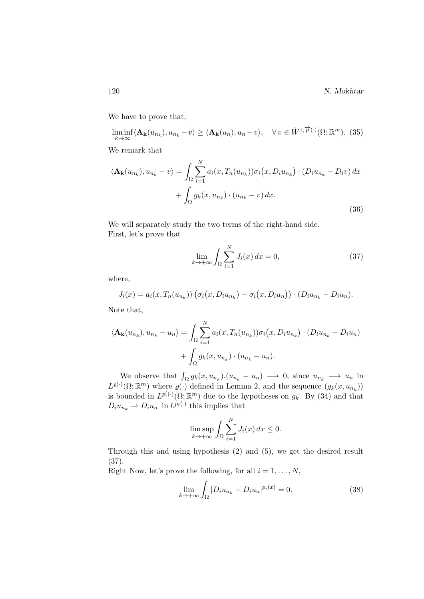120 N. Mokhtar

We have to prove that,

$$
\liminf_{k \to \infty} \langle \mathbf{A}_{\mathbf{k}}(u_{n_k}), u_{n_k} - v \rangle \ge \langle \mathbf{A}_{\mathbf{k}}(u_n), u_n - v \rangle, \quad \forall v \in \mathring{W}^{1, \overrightarrow{p}(\cdot)}(\Omega; \mathbb{R}^m). \tag{35}
$$

We remark that

$$
\langle \mathbf{A}_{\mathbf{k}}(u_{n_k}), u_{n_k} - v \rangle = \int_{\Omega} \sum_{i=1}^{N} a_i(x, T_n(u_{n_k})) \sigma_i(x, D_i u_{n_k}) \cdot (D_i u_{n_k} - D_i v) dx + \int_{\Omega} g_k(x, u_{n_k}) \cdot (u_{n_k} - v) dx.
$$
\n(36)

We will separately study the two terms of the right-hand side. First, let's prove that

$$
\lim_{k \to +\infty} \int_{\Omega} \sum_{i=1}^{N} J_i(x) dx = 0,
$$
\n(37)

where,

$$
J_i(x) = a_i(x, T_n(u_{n_k})) \left( \sigma_i(x, D_i u_{n_k}) - \sigma_i(x, D_i u_n) \right) \cdot (D_i u_{n_k} - D_i u_n).
$$

Note that,

$$
\langle \mathbf{A}_{\mathbf{k}}(u_{n_k}), u_{n_k} - u_n \rangle = \int_{\Omega} \sum_{i=1}^{N} a_i(x, T_n(u_{n_k})) \sigma_i(x, D_i u_{n_k}) \cdot (D_i u_{n_k} - D_i u_n)
$$

$$
+ \int_{\Omega} g_k(x, u_{n_k}) \cdot (u_{n_k} - u_n).
$$

We observe that  $\int_{\Omega} g_k(x, u_{n_k}) \cdot (u_{n_k} - u_n) \longrightarrow 0$ , since  $u_{n_k} \longrightarrow u_n$  in  $L^{\varrho(\cdot)}(\Omega;\mathbb{R}^m)$  where  $\varrho(\cdot)$  defined in Lemma 2, and the sequence  $(g_k(x, u_{n_k}))$ is bounded in  $L^{p'_i(\cdot)}(\Omega;\mathbb{R}^m)$  due to the hypotheses on  $g_k$ . By (34) and that  $D_i u_{n_k} \rightharpoonup D_i u_n$  in  $L^{p_i(\cdot)}$  this implies that

$$
\limsup_{k \to +\infty} \int_{\Omega} \sum_{i=1}^{N} J_i(x) \, dx \le 0.
$$

Through this and using hypothesis (2) and (5), we get the desired result (37).

Right Now, let's prove the following, for all  $i = 1, \ldots, N$ ,

$$
\lim_{k \to +\infty} \int_{\Omega} |D_i u_{n_k} - D_i u_n|^{p_i(x)} = 0.
$$
\n(38)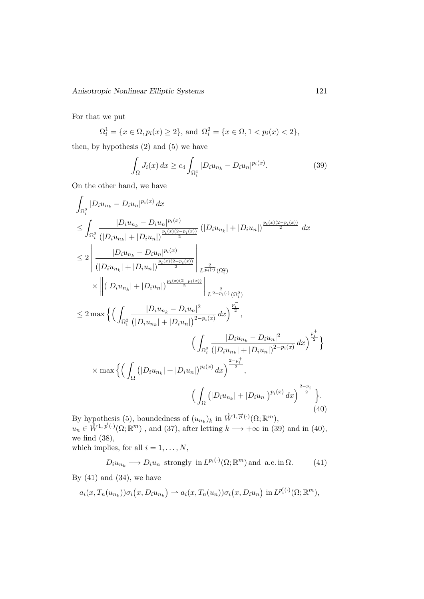For that we put

 $\Omega_i^1 = \{x \in \Omega, p_i(x) \ge 2\},\$  and  $\Omega_i^2 = \{x \in \Omega, 1 < p_i(x) < 2\},\$ 

then, by hypothesis (2) and (5) we have

$$
\int_{\Omega} J_i(x) dx \ge c_4 \int_{\Omega_i^1} |D_i u_{n_k} - D_i u_n|^{p_i(x)}.
$$
\n(39)

On the other hand, we have

$$
\int_{\Omega_{i}^{2}} |D_{i}u_{n_{k}} - D_{i}u_{n}|^{p_{i}(x)} dx
$$
\n
$$
\leq \int_{\Omega_{i}^{2}} \frac{|D_{i}u_{n_{k}} - D_{i}u_{n}|^{p_{i}(x)}}{|D_{i}u_{n_{k}}| + |D_{i}u_{n}|)^{\frac{p_{i}(x)(2-p_{i}(x))}{2}}} (|D_{i}u_{n_{k}}| + |D_{i}u_{n}|)^{\frac{p_{i}(x)(2-p_{i}(x))}{2}} dx
$$
\n
$$
\leq 2 \left\| \frac{|D_{i}u_{n_{k}} - D_{i}u_{n}|^{p_{i}(x)}}{|D_{i}u_{n_{k}}| + |D_{i}u_{n}|^{\frac{p_{i}(x)(2-p_{i}(x))}{2}}| \right\|_{L^{\frac{2}{p_{i}(x)}}(\Omega_{i}^{2})}
$$
\n
$$
\times \left\| (|D_{i}u_{n_{k}}| + |D_{i}u_{n}|)^{\frac{p_{i}(x)(2-p_{i}(x))}{2}} \right\|_{L^{\frac{2}{2-p_{i}(x)}}(\Omega_{i}^{2})}
$$
\n
$$
\leq 2 \max \left\{ \left( \int_{\Omega_{i}^{2}} \frac{|D_{i}u_{n_{k}} - D_{i}u_{n}|^{2}}{|D_{i}u_{n_{k}}| + |D_{i}u_{n}|^{2}} \right)^{\frac{p_{i}^{-}}{2}}, \left( \int_{\Omega_{i}^{2}} \frac{|D_{i}u_{n_{k}} - D_{i}u_{n}|^{2}}{|D_{i}u_{n_{k}}| + |D_{i}u_{n}|^{2}} \right)^{\frac{p_{i}^{+}}{2}} \right\}
$$
\n
$$
\times \max \left\{ \left( \int_{\Omega} (|D_{i}u_{n_{k}}| + |D_{i}u_{n}|)^{p_{i}(x)} dx \right)^{\frac{2-p_{i}^{+}}{2}}, \left( \int_{\Omega} (|D_{i}u_{n_{k}}| + |D_{i}u_{n}|)^{p_{i}(x)} dx \right)^{\frac{2-p_{i}^{-}}{2}} \right\}.
$$
\n
$$
(40)
$$

By hypothesis (5), boundedness of  $(u_{n_k})_k$  in  $\mathring{W}^{1,\overrightarrow{p}(\cdot)}(\Omega;\mathbb{R}^m)$ ,  $u_n \in \mathring{W}^{1,\overrightarrow{p}(\cdot)}(\Omega;\mathbb{R}^m)$ , and (37), after letting  $k \longrightarrow +\infty$  in (39) and in (40), we find (38),

which implies, for all  $i = 1, \ldots, N$ ,

$$
D_i u_{n_k} \longrightarrow D_i u_n
$$
 strongly in  $L^{p_i(\cdot)}(\Omega; \mathbb{R}^m)$  and a.e. in  $\Omega$ . (41)

By  $(41)$  and  $(34)$ , we have

$$
a_i(x, T_n(u_{n_k})) \sigma_i(x, D_i u_{n_k}) \rightharpoonup a_i(x, T_n(u_n)) \sigma_i(x, D_i u_n) \text{ in } L^{p'_i(\cdot)}(\Omega; \mathbb{R}^m),
$$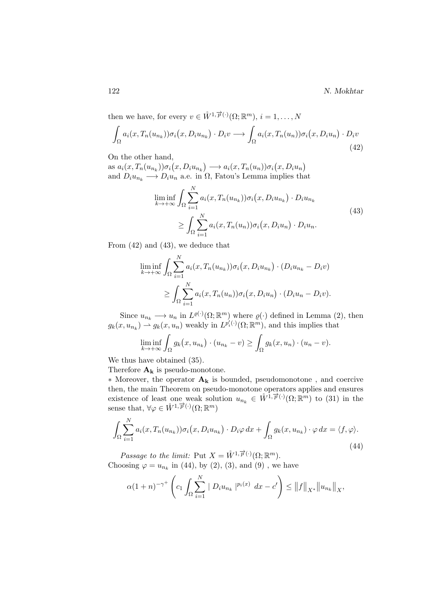122 N. Mokhtar

then we have, for every  $v \in \mathring{W}^{1,\overrightarrow{p}(\cdot)}(\Omega;\mathbb{R}^m), i = 1,\ldots,N$ 

$$
\int_{\Omega} a_i(x, T_n(u_{n_k})) \sigma_i(x, D_i u_{n_k}) \cdot D_i v \longrightarrow \int_{\Omega} a_i(x, T_n(u_n)) \sigma_i(x, D_i u_n) \cdot D_i v
$$
\n(42)

On the other hand,

as  $a_i(x, T_n(u_{n_k})) \sigma_i(x, D_i u_{n_k}) \longrightarrow a_i(x, T_n(u_n)) \sigma_i(x, D_i u_n)$ and  $D_i u_{n_k} \longrightarrow D_i u_n$  a.e. in  $\Omega$ , Fatou's Lemma implies that

$$
\liminf_{k \to +\infty} \int_{\Omega} \sum_{i=1}^{N} a_i(x, T_n(u_{n_k})) \sigma_i(x, D_i u_{n_k}) \cdot D_i u_{n_k}
$$
\n
$$
\geq \int_{\Omega} \sum_{i=1}^{N} a_i(x, T_n(u_n)) \sigma_i(x, D_i u_n) \cdot D_i u_n.
$$
\n(43)

From (42) and (43), we deduce that

$$
\liminf_{k \to +\infty} \int_{\Omega} \sum_{i=1}^{N} a_i(x, T_n(u_{n_k})) \sigma_i(x, D_i u_{n_k}) \cdot (D_i u_{n_k} - D_i v)
$$
  
\n
$$
\geq \int_{\Omega} \sum_{i=1}^{N} a_i(x, T_n(u_n)) \sigma_i(x, D_i u_n) \cdot (D_i u_n - D_i v).
$$

Since  $u_{n_k} \longrightarrow u_n$  in  $L^{\varrho(\cdot)}(\Omega;\mathbb{R}^m)$  where  $\varrho(\cdot)$  defined in Lemma (2), then  $g_k(x, u_{n_k}) \stackrel{\sim}{\rightarrow} g_k(x, u_n)$  weakly in  $L^{p'_i(\cdot)}(\Omega; \mathbb{R}^m)$ , and this implies that

$$
\liminf_{k \to +\infty} \int_{\Omega} g_k(x, u_{n_k}) \cdot (u_{n_k} - v) \ge \int_{\Omega} g_k(x, u_n) \cdot (u_n - v).
$$

We thus have obtained (35).

Therefore  $\mathbf{A_k}$  is pseudo-monotone.

∗ Moreover, the operator A<sup>k</sup> is bounded, pseudomonotone , and coercive then, the main Theorem on pseudo-monotone operators applies and ensures existence of least one weak solution  $u_{n_k} \in \mathring{W}^{1,\overrightarrow{p}(\cdot)}(\Omega;\mathbb{R}^m)$  to (31) in the sense that,  $\forall \varphi \in \overset{\circ}{W}^{1,\overrightarrow{p}(\cdot)}(\Omega;\mathbb{R}^m)$ 

$$
\int_{\Omega} \sum_{i=1}^{N} a_i(x, T_n(u_{n_k})) \sigma_i(x, D_i u_{n_k}) \cdot D_i \varphi \, dx + \int_{\Omega} g_k(x, u_{n_k}) \cdot \varphi \, dx = \langle f, \varphi \rangle.
$$
\n(44)

*Passage to the limit:* Put  $X = \mathring{W}^{1,\overrightarrow{p}(\cdot)}(\Omega;\mathbb{R}^m)$ . Choosing  $\varphi = u_{n_k}$  in (44), by (2), (3), and (9), we have

$$
\alpha (1+n)^{-\gamma^+} \left( c_1 \int_{\Omega} \sum_{i=1}^N |D_i u_{n_k}|^{p_i(x)} dx - c' \right) \le ||f||_{X^*} ||u_{n_k}||_{X},
$$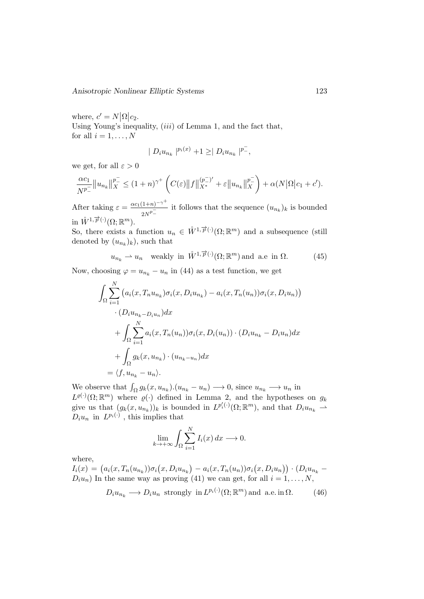where,  $c' = N |\Omega| c_2$ . Using Young's inequality,  $(iii)$  of Lemma 1, and the fact that, for all  $i = 1, \ldots, N$ 

$$
| D_i u_{n_k} |^{p_i(x)} + 1 \geq | D_i u_{n_k} |^{p^-},
$$

we get, for all  $\varepsilon > 0$ 

$$
\frac{\alpha c_1}{N^{p_-}} \|u_{n_k}\|_X^{p_-} \le (1+n)^{\gamma^+} \left( C(\varepsilon) \|f\|_{X^*}^{(p_-^-)'} + \varepsilon \|u_{n_k}\|_X^{p_-^-}\right) + \alpha(N|\Omega|c_1+c').
$$

After taking  $\varepsilon = \frac{\alpha c_1 (1+n)^{-\gamma^+}}{1-n}$  $\frac{(1+n)^{-1}}{2N^p}$  it follows that the sequence  $(u_{n_k})_k$  is bounded in  $\mathring{W}^{1,\overrightarrow{p}(\cdot)}(\Omega;\mathbb{R}^m)$ .

So, there exists a function  $u_n \in \mathring{W}^{1,\overrightarrow{p}(\cdot)}(\Omega;\mathbb{R}^m)$  and a subsequence (still denoted by  $(u_{n_k})_k$ , such that

$$
u_{n_k} \rightharpoonup u_n
$$
 weakly in  $\mathring{W}^{1,\overrightarrow{p}(\cdot)}(\Omega;\mathbb{R}^m)$  and a.e in  $\Omega$ . (45)

Now, choosing  $\varphi = u_{n_k} - u_n$  in (44) as a test function, we get

$$
\int_{\Omega} \sum_{i=1}^{N} \left( a_i(x, T_n u_{n_k}) \sigma_i(x, D_i u_{n_k}) - a_i(x, T_n(u_n)) \sigma_i(x, D_i u_n) \right)
$$

$$
\cdot (D_i u_{n_k - D_i u_n}) dx
$$

$$
+ \int_{\Omega} \sum_{i=1}^{N} a_i(x, T_n(u_n)) \sigma_i(x, D_i(u_n)) \cdot (D_i u_{n_k} - D_i u_n) dx
$$

$$
+ \int_{\Omega} g_k(x, u_{n_k}) \cdot (u_{n_k - u_n}) dx
$$

$$
= \langle f, u_{n_k} - u_n \rangle.
$$

We observe that  $\int_{\Omega} g_k(x, u_{n_k}) \cdot (u_{n_k} - u_n) \longrightarrow 0$ , since  $u_{n_k} \longrightarrow u_n$  in  $L^{\varrho(\cdot)}(\Omega;\mathbb{R}^m)$  where  $\varrho(\cdot)$  defined in Lemma 2, and the hypotheses on  $g_k$ give us that  $(g_k(x, u_{n_k}))_k$  is bounded in  $L^{p'_i(\cdot)}(\Omega; \mathbb{R}^m)$ , and that  $D_i u_{n_k} \to$  $D_i u_n$  in  $L^{p_i(\cdot)}$ , this implies that

$$
\lim_{k \to +\infty} \int_{\Omega} \sum_{i=1}^{N} I_i(x) \, dx \longrightarrow 0.
$$

where,

 $I_i(x) = (a_i(x, T_n(u_{n_k}))\sigma_i(x, D_iu_{n_k}) - a_i(x, T_n(u_n))\sigma_i(x, D_iu_n)) \cdot (D_iu_{n_k} D_i u_n$ ) In the same way as proving (41) we can get, for all  $i = 1, ..., N$ ,

$$
D_i u_{n_k} \longrightarrow D_i u_n
$$
 strongly in  $L^{p_i(\cdot)}(\Omega; \mathbb{R}^m)$  and a.e. in  $\Omega$ . (46)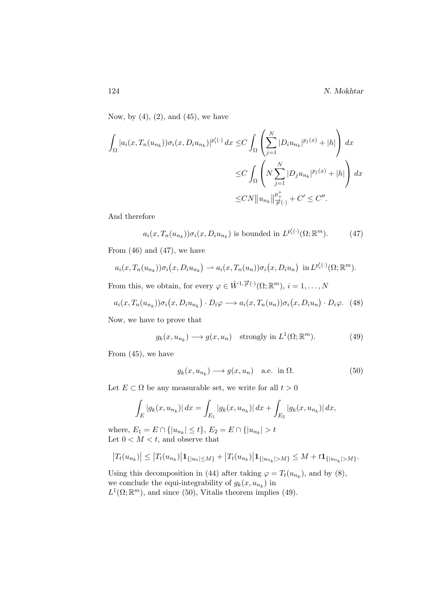Now, by  $(4)$ ,  $(2)$ , and  $(45)$ , we have

$$
\int_{\Omega} |a_i(x, T_n(u_{n_k})) \sigma_i(x, D_i u_{n_k})|^{p_i'(\cdot)} dx \leq C \int_{\Omega} \left( \sum_{j=1}^N |D_i u_{n_k}|^{p_j(x)} + |h| \right) dx
$$
  

$$
\leq C \int_{\Omega} \left( N \sum_{j=1}^N |D_j u_{n_k}|^{p_j(x)} + |h| \right) dx
$$
  

$$
\leq CN \|u_{n_k}\|_{\overrightarrow{p}(\cdot)}^{\frac{p^+}{p^+}} + C' \leq C''.
$$

And therefore

$$
a_i(x, T_n(u_{n_k})) \sigma_i(x, D_i u_{n_k}) \text{ is bounded in } L^{p'_i(\cdot)}(\Omega; \mathbb{R}^m). \tag{47}
$$

From  $(46)$  and  $(47)$ , we have

$$
a_i(x,T_n(u_{n_k}))\sigma_i(x,D_iu_{n_k}) \rightharpoonup a_i(x,T_n(u_n))\sigma_i(x,D_iu_n) \text{ in } L^{p'_i(\cdot)}(\Omega;\mathbb{R}^m).
$$

From this, we obtain, for every  $\varphi \in \mathring{W}^{1,\overrightarrow{p}(\cdot)}(\Omega;\mathbb{R}^m), i = 1,\ldots,N$ 

$$
a_i(x, T_n(u_{n_k}))\sigma_i(x, D_iu_{n_k}) \cdot D_i\varphi \longrightarrow a_i(x, T_n(u_n))\sigma_i(x, D_iu_n) \cdot D_i\varphi. \tag{48}
$$

Now, we have to prove that

$$
g_k(x, u_{n_k}) \longrightarrow g(x, u_n)
$$
 strongly in  $L^1(\Omega; \mathbb{R}^m)$ . (49)

From (45), we have

$$
g_k(x, u_{n_k}) \longrightarrow g(x, u_n) \quad \text{a.e. in } \Omega. \tag{50}
$$

Let  $E \subset \Omega$  be any measurable set, we write for all  $t > 0$ 

$$
\int_{E} |g_{k}(x, u_{n_{k}})| dx = \int_{E_{1}} |g_{k}(x, u_{n_{k}})| dx + \int_{E_{2}} |g_{k}(x, u_{n_{k}})| dx,
$$

where,  $E_1 = E \cap \{|u_{n_k}| \le t\}$ ,  $E_2 = E \cap \{|u_{n_k}| > t$ Let  $0 < M < t$ , and observe that

$$
|T_t(u_{n_k})| \leq |T_t(u_{n_k})|\mathbf{1}_{\{|u_n| \leq M\}} + |T_t(u_{n_k})|\mathbf{1}_{\{|u_{n_k}| > M\}} \leq M + t\mathbf{1}_{\{|u_{n_k}| > M\}}.
$$

Using this decomposition in (44) after taking  $\varphi = T_t(u_{n_k})$ , and by (8), we conclude the equi-integrability of  $g_k(x, u_{n_k})$  in  $L^1(\Omega;\mathbb{R}^m)$ , and since (50), Vitalis theorem implies (49).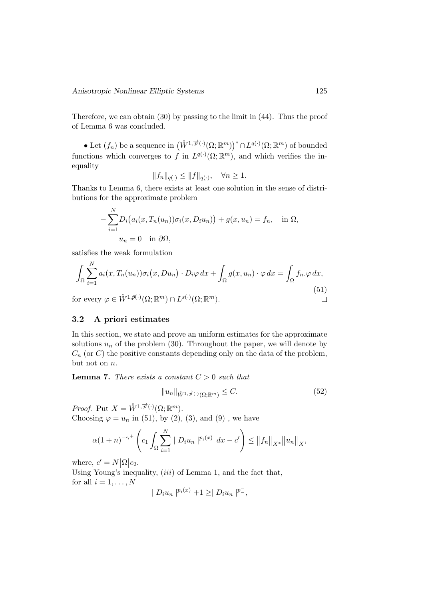Therefore, we can obtain (30) by passing to the limit in (44). Thus the proof of Lemma 6 was concluded.

• Let  $(f_n)$  be a sequence in  $(\mathring{W}^{1,\overrightarrow{p}(\cdot)}(\Omega;\mathbb{R}^m))^* \cap L^{q(\cdot)}(\Omega;\mathbb{R}^m)$  of bounded functions which converges to f in  $L^{q(\cdot)}(\Omega;\mathbb{R}^m)$ , and which verifies the inequality

$$
||f_n||_{q(.)} \leq ||f||_{q(.)}, \quad \forall n \geq 1.
$$

Thanks to Lemma 6, there exists at least one solution in the sense of distributions for the approximate problem

$$
-\sum_{i=1}^{N} D_i(a_i(x, T_n(u_n))\sigma_i(x, D_i u_n)) + g(x, u_n) = f_n, \text{ in } \Omega,
$$
  

$$
u_n = 0 \text{ in } \partial\Omega,
$$

satisfies the weak formulation

$$
\int_{\Omega} \sum_{i=1}^{N} a_i(x, T_n(u_n)) \sigma_i(x, Du_n) \cdot D_i \varphi \, dx + \int_{\Omega} g(x, u_n) \cdot \varphi \, dx = \int_{\Omega} f_n \cdot \varphi \, dx,
$$
\nfor every  $\varphi \in \mathring{W}^{1, \vec{p}(\cdot)}(\Omega; \mathbb{R}^m) \cap L^{s(\cdot)}(\Omega; \mathbb{R}^m).$ 

\n
$$
\Box
$$
\n(51)

#### 3.2 A priori estimates

In this section, we state and prove an uniform estimates for the approximate solutions  $u_n$  of the problem (30). Throughout the paper, we will denote by  $C_n$  (or  $C$ ) the positive constants depending only on the data of the problem, but not on  $n$ .

**Lemma 7.** There exists a constant  $C > 0$  such that

$$
||u_n||_{\mathring{W}^{1,\overrightarrow{p}(\cdot)}(\Omega;\mathbb{R}^m)} \leq C. \tag{52}
$$

*Proof.* Put  $X = \mathring{W}^{1, \overrightarrow{p}(\cdot)}(\Omega; \mathbb{R}^m)$ . Choosing  $\varphi = u_n$  in (51), by (2), (3), and (9), we have

$$
\alpha (1+n)^{-\gamma^+} \left( c_1 \int_{\Omega} \sum_{i=1}^N \| D_i u_n \|^{p_i(x)} \, dx - c' \right) \le \|f_n\|_{X^*} \|u_n\|_{X^*},
$$

where,  $c' = N |\Omega| c_2$ .

Using Young's inequality,  $(iii)$  of Lemma 1, and the fact that, for all  $i = 1, \ldots, N$ −

$$
| D_i u_n |^{p_i(x)} + 1 \geq | D_i u_n |^{p^-},
$$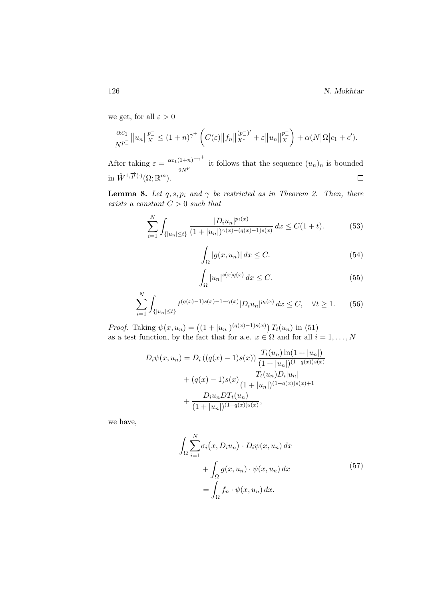we get, for all  $\varepsilon > 0$ 

$$
\frac{\alpha c_1}{N^{p_-}} \|u_n\|_X^{p_-^-} \le (1+n)^{\gamma^+} \left( C(\varepsilon) \|f_n\|_{X^*}^{(p_-^-)'} + \varepsilon \|u_n\|_X^{p_-^-} \right) + \alpha(N|\Omega|c_1+c').
$$

After taking  $\varepsilon = \frac{\alpha c_1 (1+n)^{-\gamma^+}}{1-n}$  $\frac{(1+n)^{-1}}{2N^p}$  it follows that the sequence  $(u_n)_n$  is bounded in  $\mathring{W}^{1,\overrightarrow{p}(\cdot)}(\Omega;\mathbb{R}^m)$ .

**Lemma 8.** Let q, s,  $p_i$  and  $\gamma$  be restricted as in Theorem 2. Then, there exists a constant  $C > 0$  such that

$$
\sum_{i=1}^{N} \int_{\{|u_n| \le t\}} \frac{|D_i u_n|^{p_i(x)}}{(1+|u_n|)^{\gamma(x)-(q(x)-1)s(x)}} dx \le C(1+t). \tag{53}
$$

$$
\int_{\Omega} |g(x, u_n)| dx \le C. \tag{54}
$$

$$
\int_{\Omega} |u_n|^{s(x)q(x)} dx \le C. \tag{55}
$$

$$
\sum_{i=1}^{N} \int_{\{|u_n| \le t\}} t^{(q(x)-1)s(x)-1-\gamma(x)} |D_i u_n|^{p_i(x)} dx \le C, \quad \forall t \ge 1.
$$
 (56)

*Proof.* Taking  $\psi(x, u_n) = ((1 + |u_n|)^{(q(x)-1)s(x)}) T_t(u_n)$  in (51) as a test function, by the fact that for a.e.  $x \in \Omega$  and for all  $i = 1, \ldots, N$ 

$$
D_i \psi(x, u_n) = D_i ((q(x) - 1)s(x)) \frac{T_t(u_n) \ln(1 + |u_n|)}{(1 + |u_n|)^{(1 - q(x))s(x)}} + (q(x) - 1)s(x) \frac{T_t(u_n)D_i|u_n|}{(1 + |u_n|)^{(1 - q(x))s(x) + 1}} + \frac{D_i u_n DT_t(u_n)}{(1 + |u_n|)^{(1 - q(x))s(x)}},
$$

we have,

$$
\int_{\Omega} \sum_{i=1}^{N} \sigma_i(x, D_i u_n) \cdot D_i \psi(x, u_n) dx \n+ \int_{\Omega} g(x, u_n) \cdot \psi(x, u_n) dx \n= \int_{\Omega} f_n \cdot \psi(x, u_n) dx.
$$
\n(57)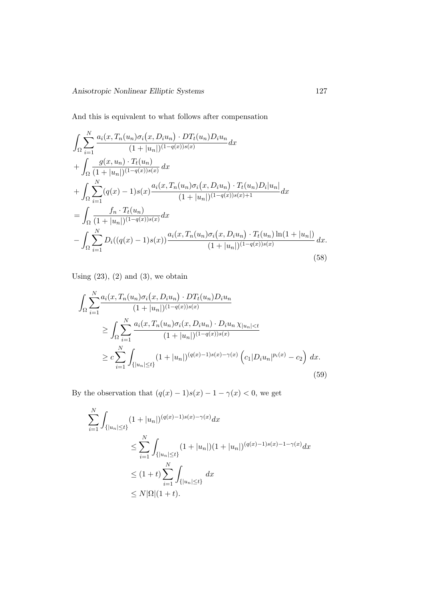And this is equivalent to what follows after compensation

$$
\int_{\Omega} \sum_{i=1}^{N} \frac{a_i(x, T_n(u_n)\sigma_i(x, D_i u_n) \cdot DT_t(u_n)D_i u_n}{(1+|u_n|)^{(1-q(x))s(x)}} dx \n+ \int_{\Omega} \frac{g(x, u_n) \cdot T_t(u_n)}{(1+|u_n|)^{(1-q(x))s(x)}} dx \n+ \int_{\Omega} \sum_{i=1}^{N} (q(x) - 1)s(x) \frac{a_i(x, T_n(u_n)\sigma_i(x, D_i u_n) \cdot T_t(u_n)D_i|u_n|}{(1+|u_n|)^{(1-q(x))s(x)+1}} dx \n= \int_{\Omega} \frac{f_n \cdot T_t(u_n)}{(1+|u_n|)^{(1-q(x))s(x)}} dx \n- \int_{\Omega} \sum_{i=1}^{N} D_i((q(x) - 1)s(x)) \frac{a_i(x, T_n(u_n)\sigma_i(x, D_i u_n) \cdot T_t(u_n) \ln(1+|u_n|)}{(1+|u_n|)^{(1-q(x))s(x)}} dx.
$$
\n(58)

Using  $(23)$ ,  $(2)$  and  $(3)$ , we obtain

$$
\int_{\Omega} \sum_{i=1}^{N} \frac{a_i(x, T_n(u_n)\sigma_i(x, D_i u_n) \cdot DT_t(u_n)D_i u_n}{(1+|u_n|)^{(1-q(x))s(x)}}\n\n\geq \int_{\Omega} \sum_{i=1}^{N} \frac{a_i(x, T_n(u_n)\sigma_i(x, D_i u_n) \cdot D_i u_n \chi_{|u_n| < t}}{(1+|u_n|)^{(1-q(x))s(x)}}\n\n\geq c \sum_{i=1}^{N} \int_{\{|u_n| \leq t\}} (1+|u_n|)^{(q(x)-1)s(x)-\gamma(x)} \left(c_1|D_i u_n|^{p_i(x)}-c_2\right) dx.
$$
\n(59)

By the observation that  $(q(x) - 1)s(x) - 1 - \gamma(x) < 0$ , we get

$$
\sum_{i=1}^{N} \int_{\{|u_n| \le t\}} (1+|u_n|)^{(q(x)-1)s(x)-\gamma(x)} dx
$$
  
\n
$$
\le \sum_{i=1}^{N} \int_{\{|u_n| \le t\}} (1+|u_n|)(1+|u_n|)^{(q(x)-1)s(x)-1-\gamma(x)} dx
$$
  
\n
$$
\le (1+t) \sum_{i=1}^{N} \int_{\{|u_n| \le t\}} dx
$$
  
\n
$$
\le N|\Omega|(1+t).
$$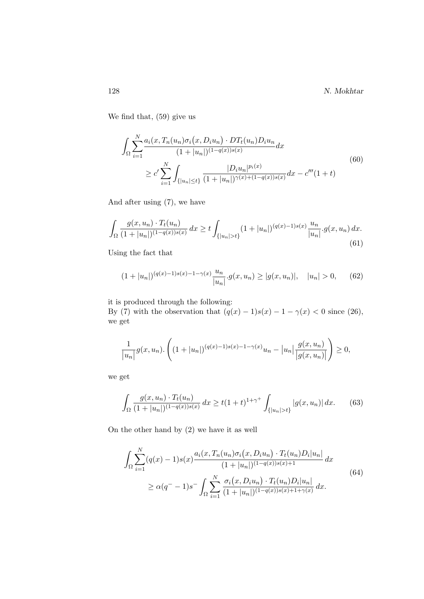128 N. Mokhtar

We find that, (59) give us

$$
\int_{\Omega} \sum_{i=1}^{N} \frac{a_i(x, T_n(u_n)\sigma_i(x, D_i u_n) \cdot DT_t(u_n)D_i u_n}{(1+|u_n|)^{(1-q(x))s(x)}} dx
$$
\n
$$
\geq c' \sum_{i=1}^{N} \int_{\{|u_n| \leq t\}} \frac{|D_i u_n|^{p_i(x)}}{(1+|u_n|)^{\gamma(x)+(1-q(x))s(x)}} dx - c'''(1+t)
$$
\n(60)

And after using (7), we have

$$
\int_{\Omega} \frac{g(x, u_n) \cdot T_t(u_n)}{(1 + |u_n|)^{(1 - q(x))s(x)}} dx \ge t \int_{\{|u_n| > t\}} (1 + |u_n|)^{(q(x) - 1)s(x)} \frac{u_n}{|u_n|} \cdot g(x, u_n) dx.
$$
\n(61)

Using the fact that

$$
(1+|u_n|)^{(q(x)-1)s(x)-1-\gamma(x)}\frac{u_n}{|u_n|}g(x,u_n) \ge |g(x,u_n)|, \quad |u_n| > 0,
$$
 (62)

it is produced through the following:

By (7) with the observation that  $(q(x) - 1)s(x) - 1 - \gamma(x) < 0$  since (26), we get

$$
\frac{1}{|u_n|} g(x, u_n) \cdot \left( (1+|u_n|)^{(q(x)-1)s(x)-1-\gamma(x)} u_n - |u_n| \frac{g(x, u_n)}{|g(x, u_n)|} \right) \ge 0,
$$

we get

$$
\int_{\Omega} \frac{g(x, u_n) \cdot T_t(u_n)}{(1 + |u_n|)^{(1 - q(x))s(x)}} dx \ge t(1 + t)^{1 + \gamma^+} \int_{\{|u_n| > t\}} |g(x, u_n)| dx. \tag{63}
$$

On the other hand by (2) we have it as well

$$
\int_{\Omega} \sum_{i=1}^{N} (q(x) - 1)s(x) \frac{a_i(x, T_n(u_n)\sigma_i(x, D_i u_n) \cdot T_t(u_n)D_i|u_n|}{(1 + |u_n|)^{(1 - q(x))s(x) + 1}} dx
$$
\n
$$
\geq \alpha (q^{-} - 1)s^{-} \int_{\Omega} \sum_{i=1}^{N} \frac{\sigma_i(x, D_i u_n) \cdot T_t(u_n)D_i|u_n|}{(1 + |u_n|)^{(1 - q(x))s(x) + 1 + \gamma(x)}} dx.
$$
\n(64)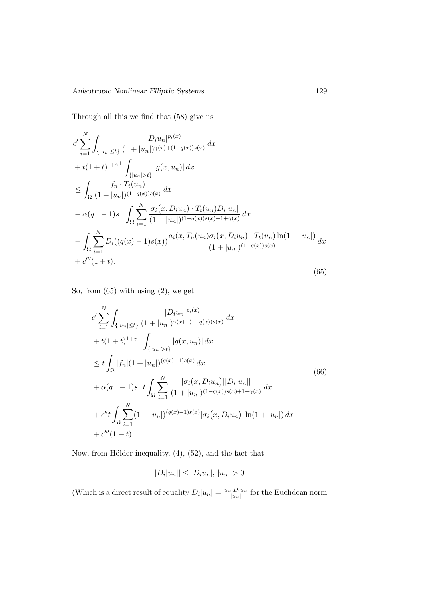Through all this we find that (58) give us

$$
c' \sum_{i=1}^{N} \int_{\{|u_n| \le t\}} \frac{|D_i u_n|^{p_i(x)}}{(1+|u_n|)^{\gamma(x)+(1-q(x))s(x)}} dx
$$
  
+  $t(1+t)^{1+\gamma^+} \int_{\{|u_n| > t\}} |g(x, u_n)| dx$   

$$
\le \int_{\Omega} \frac{f_n \cdot T_t(u_n)}{(1+|u_n|)^{(1-q(x))s(x)}} dx
$$
  

$$
-\alpha(q^- - 1)s^- \int_{\Omega} \sum_{i=1}^{N} \frac{\sigma_i(x, D_i u_n) \cdot T_t(u_n) D_i |u_n|}{(1+|u_n|)^{(1-q(x))s(x)+1+\gamma(x)}} dx
$$
  

$$
-\int_{\Omega} \sum_{i=1}^{N} D_i((q(x) - 1)s(x)) \frac{a_i(x, T_n(u_n)\sigma_i(x, D_i u_n) \cdot T_t(u_n) \ln(1+|u_n|)}{(1+|u_n|)^{(1-q(x))s(x)}} dx
$$
  
+  $c'''(1+t).$  (65)

So, from (65) with using (2), we get

$$
c' \sum_{i=1}^{N} \int_{\{|u_n| \le t\}} \frac{|D_i u_n|^{p_i(x)}}{(1+|u_n|)^{\gamma(x)+(1-q(x))s(x)}} dx
$$
  
+  $t(1+t)^{1+\gamma^+} \int_{\{|u_n| > t\}} |g(x, u_n)| dx$   

$$
\le t \int_{\Omega} |f_n| (1+|u_n|)^{(q(x)-1)s(x)} dx
$$
  
+  $\alpha(q^- - 1)s^- t \int_{\Omega} \sum_{i=1}^{N} \frac{|\sigma_i(x, D_i u_n)||D_i|u_n||}{(1+|u_n|)^{(1-q(x))s(x)+1+\gamma(x)}} dx$   
+  $c'' t \int_{\Omega} \sum_{i=1}^{N} (1+|u_n|)^{(q(x)-1)s(x)} |\sigma_i(x, D_i u_n)| \ln(1+|u_n|) dx$   
+  $c'''(1+t)$ .

Now, from Hölder inequality,  $(4)$ ,  $(52)$ , and the fact that

$$
|D_i|u_n|| \leq |D_i u_n|, |u_n| > 0
$$

(Which is a direct result of equality  $D_i|u_n| = \frac{u_n \cdot D_i u_n}{|u_n|}$  $\frac{d \cdot D_i u_n}{|u_n|}$  for the Euclidean norm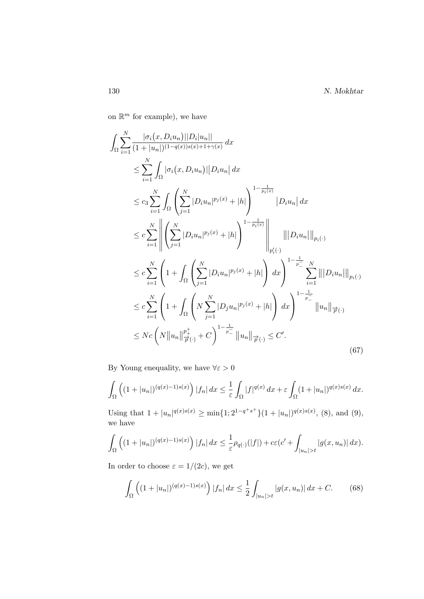on  $\mathbb{R}^m$  for example), we have

$$
\int_{\Omega} \sum_{i=1}^{N} \frac{|\sigma_{i}(x, D_{i} u_{n})||D_{i}|u_{n}||}{(1+|u_{n}|)^{(1-q(x))s(x)+1+\gamma(x)}} dx
$$
\n
$$
\leq \sum_{i=1}^{N} \int_{\Omega} |\sigma_{i}(x, D_{i} u_{n})||D_{i} u_{n}| dx
$$
\n
$$
\leq c_{3} \sum_{i=1}^{N} \int_{\Omega} \left( \sum_{j=1}^{N} |D_{i} u_{n}|^{p_{j}(x)} + |h| \right)^{1-\frac{1}{p_{i}(x)}} |D_{i} u_{n}| dx
$$
\n
$$
\leq c \sum_{i=1}^{N} \left\| \left( \sum_{j=1}^{N} |D_{i} u_{n}|^{p_{j}(x)} + |h| \right)^{1-\frac{1}{p_{i}(x)}} \right\|_{p'_{i}(\cdot)}
$$
\n
$$
\leq c \sum_{i=1}^{N} \left( 1 + \int_{\Omega} \left( \sum_{j=1}^{N} |D_{i} u_{n}|^{p_{j}(x)} + |h| \right) dx \right)^{1-\frac{1}{p_{-}}} \sum_{i=1}^{N} |||D_{i} u_{n}|||_{p_{i}(\cdot)}
$$
\n
$$
\leq c \sum_{i=1}^{N} \left( 1 + \int_{\Omega} \left( N \sum_{j=1}^{N} |D_{j} u_{n}|^{p_{j}(x)} + |h| \right) dx \right)^{1-\frac{1}{p_{-}}} ||u_{n}||_{p'_{i}(\cdot)}
$$
\n
$$
\leq Nc \left( N ||u_{n}||_{p'_{i}(\cdot)}^{p_{+}^{+}} + C \right)^{1-\frac{1}{p_{-}}} ||u_{n}||_{p'_{i}(\cdot)} \leq C'.
$$
\n(67)

By Young enequality, we have  $\forall \varepsilon > 0$ 

$$
\int_{\Omega} \left( (1+|u_n|)^{(q(x)-1)s(x)} \right) |f_n| \, dx \le \frac{1}{\varepsilon} \int_{\Omega} |f|^{q(x)} \, dx + \varepsilon \int_{\Omega} (1+|u_n|)^{q(x)s(x)} \, dx.
$$

Using that  $1+|u_n|^{q(x)s(x)} \geq \min\{1; 2^{1-q^+s^+}\}(1+|u_n|)^{q(x)s(x)},$  (8), and (9), we have

$$
\int_{\Omega} \left( (1+|u_n|)^{(q(x)-1)s(x)} \right) |f_n| \, dx \leq \frac{1}{\varepsilon} \rho_{q(\cdot)}(|f|) + c\varepsilon (c' + \int_{|u_n|>t} |g(x, u_n)| \, dx).
$$

In order to choose  $\varepsilon = 1/(2c)$ , we get

$$
\int_{\Omega} \left( (1+|u_n|)^{(q(x)-1)s(x)} \right) |f_n| \, dx \le \frac{1}{2} \int_{|u_n|>t} |g(x, u_n)| \, dx + C. \tag{68}
$$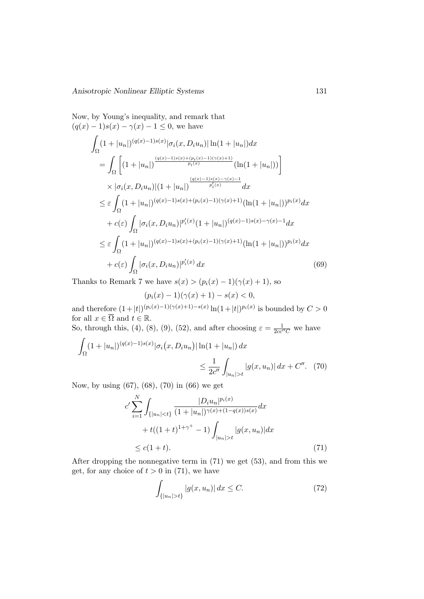Now, by Young's inequality, and remark that  $(q(x) - 1)s(x) - \gamma(x) - 1 \leq 0$ , we have Z Ω  $(1+|u_n|)^{(q(x)-1)s(x)}|\sigma_i(x,D_iu_n)|\ln(1+|u_n|)dx$ 

$$
= \int_{\Omega} \left[ (1+|u_n|)^{\frac{(q(x)-1)s(x)+(p_i(x)-1)(\gamma(x)+1)}{p_i(x)}} (\ln(1+|u_n|)) \right]
$$
  
\n
$$
\times |\sigma_i(x, D_i u_n)| (1+|u_n|)^{\frac{(q(x)-1)s(x)-\gamma(x)-1}{p_i'(x)}} dx
$$
  
\n
$$
\leq \varepsilon \int_{\Omega} (1+|u_n|)^{(q(x)-1)s(x)+(p_i(x)-1)(\gamma(x)+1)} (\ln(1+|u_n|))^{p_i(x)} dx
$$
  
\n
$$
+ c(\varepsilon) \int_{\Omega} |\sigma_i(x, D_i u_n)|^{p_i'(x)} (1+|u_n|)^{(q(x)-1)s(x)-\gamma(x)-1} dx
$$
  
\n
$$
\leq \varepsilon \int_{\Omega} (1+|u_n|)^{(q(x)-1)s(x)+(p_i(x)-1)(\gamma(x)+1)} (\ln(1+|u_n|))^{p_i(x)} dx
$$
  
\n
$$
+ c(\varepsilon) \int_{\Omega} |\sigma_i(x, D_i u_n)|^{p_i'(x)} dx
$$
(69)

Thanks to Remark 7 we have  $s(x) > (p_i(x) - 1)(\gamma(x) + 1)$ , so

 $(p_i(x) - 1)(\gamma(x) + 1) - s(x) < 0,$ 

and therefore  $(1+|t|)^{(p_i(x)-1)(\gamma(x)+1)-s(x)}\ln(1+|t|)^{p_i(x)}$  is bounded by  $C>0$ for all  $x \in \overline{\Omega}$  and  $t \in \mathbb{R}$ .

So, through this, (4), (8), (9), (52), and after choosing  $\varepsilon = \frac{1}{2cc''C}$  we have  $\Gamma$ 

$$
\int_{\Omega} (1+|u_n|)^{(q(x)-1)s(x)} |\sigma_i(x, D_i u_n)| \ln(1+|u_n|) dx
$$
  

$$
\leq \frac{1}{2c''} \int_{|u_n|>t} |g(x, u_n)| dx + C''.
$$
 (70)

Now, by using (67), (68), (70) in (66) we get

$$
c' \sum_{i=1}^{N} \int_{\{|u_n| < t\}} \frac{|D_i u_n|^{p_i(x)}}{(1+|u_n|)^{\gamma(x)+(1-q(x))s(x)}} dx
$$

$$
+ t((1+t)^{1+\gamma^+} - 1) \int_{|u_n| > t} |g(x, u_n)| dx
$$

$$
\leq c(1+t). \tag{71}
$$

After dropping the nonnegative term in (71) we get (53), and from this we get, for any choice of  $t > 0$  in (71), we have

$$
\int_{\{|u_n| > t\}} |g(x, u_n)| \, dx \le C. \tag{72}
$$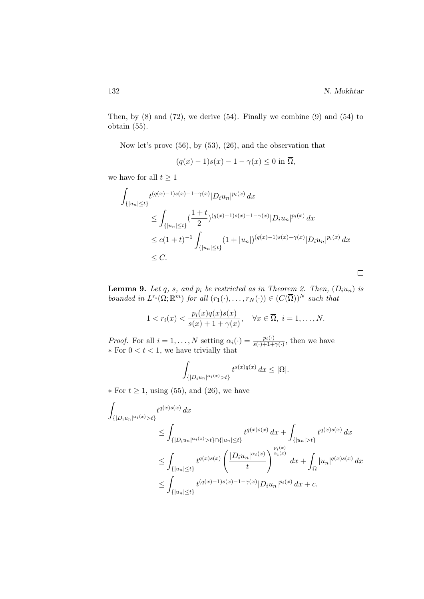$\Box$ 

Then, by  $(8)$  and  $(72)$ , we derive  $(54)$ . Finally we combine  $(9)$  and  $(54)$  to obtain (55).

Now let's prove (56), by (53), (26), and the observation that

$$
(q(x) - 1)s(x) - 1 - \gamma(x) \le 0 \text{ in } \overline{\Omega},
$$

we have for all  $t \geq 1$ 

$$
\int_{\{|u_n| \le t\}} t^{(q(x)-1)s(x)-1-\gamma(x)} |D_i u_n|^{p_i(x)} dx
$$
\n
$$
\le \int_{\{|u_n| \le t\}} \left(\frac{1+t}{2}\right)^{(q(x)-1)s(x)-1-\gamma(x)} |D_i u_n|^{p_i(x)} dx
$$
\n
$$
\le c(1+t)^{-1} \int_{\{|u_n| \le t\}} (1+|u_n|)^{(q(x)-1)s(x)-\gamma(x)} |D_i u_n|^{p_i(x)} dx
$$
\n
$$
\le C.
$$

**Lemma 9.** Let q, s, and  $p_i$  be restricted as in Theorem 2. Then,  $(D_i u_n)$  is bounded in  $L^{r_i}(\Omega; \mathbb{R}^m)$  for all  $(r_1(\cdot), \ldots, r_N(\cdot)) \in (C(\overline{\Omega}))^N$  such that

$$
1 < r_i(x) < \frac{p_i(x)q(x)s(x)}{s(x)+1+\gamma(x)}, \quad \forall x \in \overline{\Omega}, \ i = 1, \dots, N.
$$

*Proof.* For all  $i = 1, ..., N$  setting  $\alpha_i(\cdot) = \frac{p_i(\cdot)}{s(\cdot) + 1 + \gamma(\cdot)}$ , then we have  $*$  For  $0 < t < 1$ , we have trivially that

$$
\int_{\{|D_i u_n|^{\alpha_i(x)} > t\}} t^{s(x)q(x)} dx \leq |\Omega|.
$$

 $\ast$  For  $t \geq 1$ , using (55), and (26), we have

$$
\int_{\{|D_i u_n|^{\alpha_i(x)} > t\}} t^{q(x)s(x)} dx
$$
\n
$$
\leq \int_{\{|D_i u_n|^{\alpha_i(x)} > t\} \cap \{|u_n| \leq t\}} t^{q(x)s(x)} dx + \int_{\{|u_n| > t\}} t^{q(x)s(x)} dx
$$
\n
$$
\leq \int_{\{|u_n| \leq t\}} t^{q(x)s(x)} \left( \frac{|D_i u_n|^{\alpha_i(x)}}{t} \right)^{\frac{p_i(x)}{\alpha_i(x)}} dx + \int_{\Omega} |u_n|^{q(x)s(x)} dx
$$
\n
$$
\leq \int_{\{|u_n| \leq t\}} t^{(q(x)-1)s(x)-1-\gamma(x)} |D_i u_n|^{p_i(x)} dx + c.
$$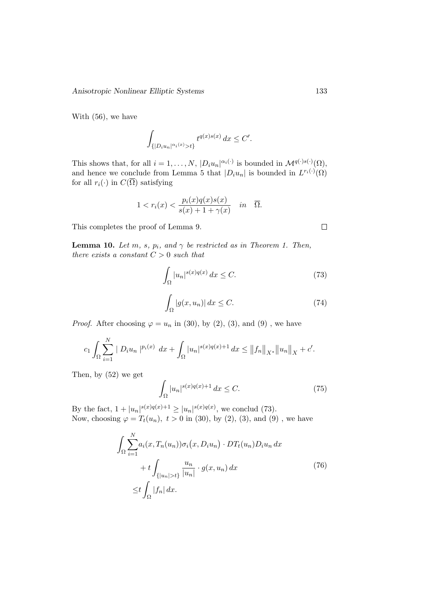With (56), we have

$$
\int_{\{|D_i u_n|^{\alpha_i(x)} > t\}} t^{q(x)s(x)} dx \le C'.
$$

This shows that, for all  $i = 1, ..., N$ ,  $|D_i u_n|^{\alpha_i(\cdot)}$  is bounded in  $\mathcal{M}^{q(\cdot), s(\cdot)}(\Omega)$ , and hence we conclude from Lemma 5 that  $|D_i u_n|$  is bounded in  $L^{r_i(\cdot)}(\Omega)$ for all  $r_i(\cdot)$  in  $C(\overline{\Omega})$  satisfying

$$
1 < r_i(x) < \frac{p_i(x)q(x)s(x)}{s(x) + 1 + \gamma(x)} \quad in \quad \overline{\Omega}.
$$

This completes the proof of Lemma 9.

**Lemma 10.** Let m, s,  $p_i$ , and  $\gamma$  be restricted as in Theorem 1. Then, there exists a constant  $C > 0$  such that

$$
\int_{\Omega} |u_n|^{s(x)q(x)} dx \le C. \tag{73}
$$

$$
\int_{\Omega} |g(x, u_n)| dx \le C. \tag{74}
$$

*Proof.* After choosing  $\varphi = u_n$  in (30), by (2), (3), and (9), we have

$$
c_1 \int_{\Omega} \sum_{i=1}^N |D_i u_n|^{p_i(x)} dx + \int_{\Omega} |u_n|^{s(x)q(x)+1} dx \leq ||f_n||_{X^*} ||u_n||_X + c'.
$$

Then, by (52) we get

$$
\int_{\Omega} |u_n|^{s(x)q(x)+1} dx \le C. \tag{75}
$$

By the fact,  $1 + |u_n|^{s(x)q(x)+1} \ge |u_n|^{s(x)q(x)}$ , we conclud (73). Now, choosing  $\varphi = T_t(u_n)$ ,  $t > 0$  in (30), by (2), (3), and (9), we have

$$
\int_{\Omega} \sum_{i=1}^{N} a_i(x, T_n(u_n)) \sigma_i(x, D_i u_n) \cdot DT_t(u_n) D_i u_n dx
$$
  
+ 
$$
t \int_{\{|u_n| > t\}} \frac{u_n}{|u_n|} \cdot g(x, u_n) dx
$$
  

$$
\leq t \int_{\Omega} |f_n| dx.
$$
 (76)

 $\Box$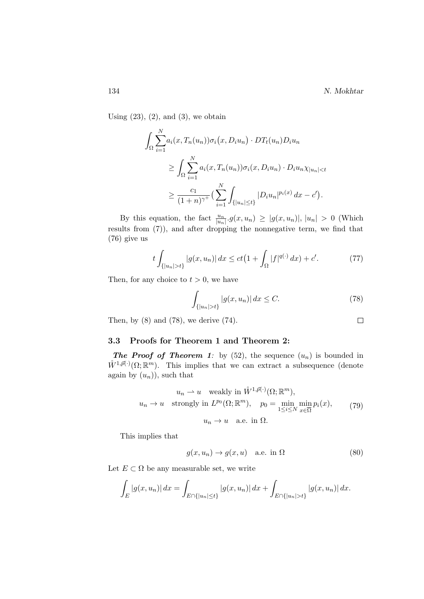Using  $(23)$ ,  $(2)$ , and  $(3)$ , we obtain

$$
\int_{\Omega} \sum_{i=1}^{N} a_i(x, T_n(u_n)) \sigma_i(x, D_i u_n) \cdot DT_t(u_n) D_i u_n
$$
  
\n
$$
\geq \int_{\Omega} \sum_{i=1}^{N} a_i(x, T_n(u_n)) \sigma_i(x, D_i u_n) \cdot D_i u_n \chi_{|u_n| < t}
$$
  
\n
$$
\geq \frac{c_1}{(1+n)^{\gamma^+}} \Big( \sum_{i=1}^{N} \int_{\{|u_n| \leq t\}} |D_i u_n|^{p_i(x)} dx - c' \Big).
$$

By this equation, the fact  $\frac{u_n}{|u_n|} g(x, u_n) \geq |g(x, u_n)|, |u_n| > 0$  (Which results from (7)), and after dropping the nonnegative term, we find that (76) give us

$$
t \int_{\{|u_n| > t\}} |g(x, u_n)| dx \le ct \left(1 + \int_{\Omega} |f|^{q(\cdot)} dx\right) + c'. \tag{77}
$$

Then, for any choice to  $t > 0$ , we have

$$
\int_{\{|u_n|>t\}} |g(x, u_n)| \, dx \le C. \tag{78}
$$

Then, by  $(8)$  and  $(78)$ , we derive  $(74)$ .

### 3.3 Proofs for Theorem 1 and Theorem 2:

**The Proof of Theorem 1:** by (52), the sequence  $(u_n)$  is bounded in  $\mathring{W}^{1,\vec{p}(\cdot)}(\Omega;\mathbb{R}^m)$ . This implies that we can extract a subsequence (denote again by  $(u_n)$ , such that

$$
u_n \to u \quad \text{weakly in } \mathring{W}^{1, \vec{p}(\cdot)}(\Omega; \mathbb{R}^m),
$$
  

$$
u_n \to u \quad \text{strongly in } L^{p_0}(\Omega; \mathbb{R}^m), \quad p_0 = \min_{1 \le i \le N} \min_{x \in \overline{\Omega}} p_i(x), \tag{79}
$$
  

$$
u_n \to u \quad \text{a.e. in } \Omega.
$$

This implies that

$$
g(x, u_n) \to g(x, u) \quad \text{a.e. in } \Omega \tag{80}
$$

Let  $E \subset \Omega$  be any measurable set, we write

$$
\int_{E} |g(x, u_n)| dx = \int_{E \cap \{|u_n| \le t\}} |g(x, u_n)| dx + \int_{E \cap \{|u_n| > t\}} |g(x, u_n)| dx.
$$

 $\Box$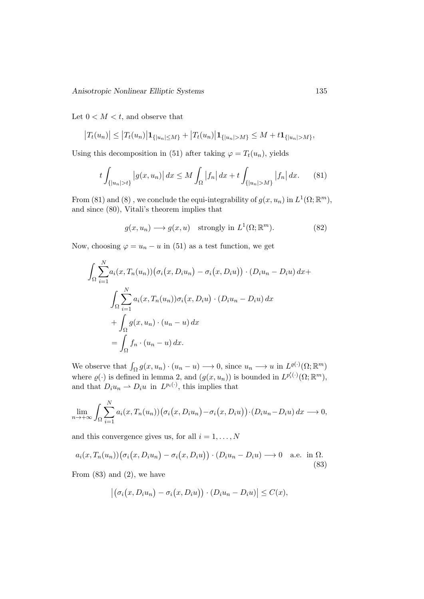Let  $0 < M < t$ , and observe that

$$
|T_t(u_n)| \leq |T_t(u_n)| \mathbf{1}_{\{|u_n| \leq M\}} + |T_t(u_n)| \mathbf{1}_{\{|u_n| > M\}} \leq M + t \mathbf{1}_{\{|u_n| > M\}},
$$

Using this decomposition in (51) after taking  $\varphi = T_t(u_n)$ , yields

$$
t \int_{\{|u_n| > t\}} |g(x, u_n)| dx \le M \int_{\Omega} |f_n| dx + t \int_{\{|u_n| > M\}} |f_n| dx. \tag{81}
$$

From (81) and (8), we conclude the equi-integrability of  $g(x, u_n)$  in  $L^1(\Omega; \mathbb{R}^m)$ , and since (80), Vitali's theorem implies that

$$
g(x, u_n) \longrightarrow g(x, u) \quad \text{strongly in } L^1(\Omega; \mathbb{R}^m). \tag{82}
$$

Now, choosing  $\varphi = u_n - u$  in (51) as a test function, we get

$$
\int_{\Omega} \sum_{i=1}^{N} a_i(x, T_n(u_n)) (\sigma_i(x, D_i u_n) - \sigma_i(x, D_i u)) \cdot (D_i u_n - D_i u) dx +
$$

$$
\int_{\Omega} \sum_{i=1}^{N} a_i(x, T_n(u_n)) \sigma_i(x, D_i u) \cdot (D_i u_n - D_i u) dx
$$

$$
+ \int_{\Omega} g(x, u_n) \cdot (u_n - u) dx
$$

$$
= \int_{\Omega} f_n \cdot (u_n - u) dx.
$$

We observe that  $\int_{\Omega} g(x, u_n) \cdot (u_n - u) \longrightarrow 0$ , since  $u_n \longrightarrow u$  in  $L^{\varrho(\cdot)}(\Omega; \mathbb{R}^m)$ where  $\varrho(\cdot)$  is defined in lemma 2, and  $(g(x, u_n))$  is bounded in  $L^{p'_i(\cdot)}(\Omega; \mathbb{R}^m)$ , and that  $D_i u_n \rightharpoonup D_i u$  in  $L^{p_i(\cdot)}$ , this implies that

$$
\lim_{n \to +\infty} \int_{\Omega} \sum_{i=1}^{N} a_i(x, T_n(u_n)) (\sigma_i(x, D_i u_n) - \sigma_i(x, D_i u)) \cdot (D_i u_n - D_i u) dx \longrightarrow 0,
$$

and this convergence gives us, for all  $i = 1, \ldots, N$ 

$$
a_i(x, T_n(u_n))(\sigma_i(x, D_i u_n) - \sigma_i(x, D_i u)) \cdot (D_i u_n - D_i u) \longrightarrow 0 \quad \text{a.e. in } \Omega.
$$
\n(83)

From  $(83)$  and  $(2)$ , we have

$$
\left| \big(\sigma_i(x, D_i u_n) - \sigma_i(x, D_i u)\big) \cdot (D_i u_n - D_i u)\right| \leq C(x),
$$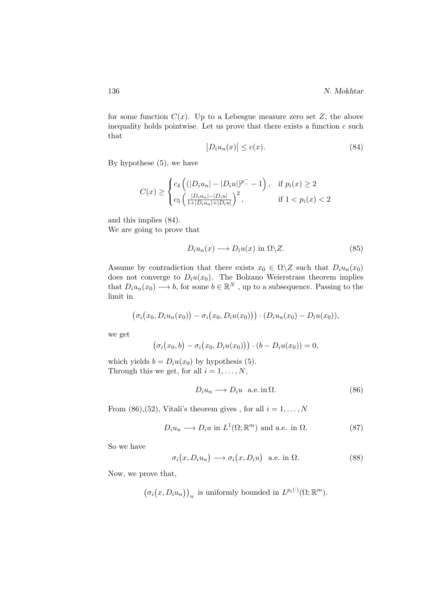for some function  $C(x)$ . Up to a Lebesgue measure zero set Z, the above inequality holds pointwise. Let us prove that there exists a function  $c$  such that

$$
|D_i u_n(x)| \le c(x). \tag{84}
$$

By hypothese (5), we have

$$
C(x) \ge \begin{cases} c_4 \left( (|D_i u_n| - |D_i u|)^{p-} - 1 \right), & \text{if } p_i(x) \ge 2\\ c_5 \left( \frac{|D_i u_n| - |D_i u|}{1 + |D_i u_n| + |D_i u|} \right)^2, & \text{if } 1 < p_i(x) < 2 \end{cases}
$$

and this implies (84). We are going to prove that

$$
D_i u_n(x) \longrightarrow D_i u(x) \text{ in } \Omega \backslash Z. \tag{85}
$$

Assume by contradiction that there exists  $x_0 \in \Omega \backslash Z$  such that  $D_i u_n(x_0)$ does not converge to  $D_iu(x_0)$ . The Bolzano Weierstrass theorem implies that  $D_i u_n(x_0) \longrightarrow b$ , for some  $b \in \mathbb{R}^N$ , up to a subsequence. Passing to the limit in

$$
(\sigma_i(x_0,D_iu_n(x_0))-\sigma_i(x_0,D_iu(x_0)))\cdot(D_iu_n(x_0)-D_iu(x_0)),
$$

we get

$$
(\sigma_i(x_0,b)-\sigma_i(x_0,D_iu(x_0)))\cdot (b-D_iu(x_0))=0,
$$

which yields  $b = D_i u(x_0)$  by hypothesis (5). Through this we get, for all  $i = 1, \ldots, N$ ,

$$
D_i u_n \longrightarrow D_i u \quad \text{a.e. in } \Omega. \tag{86}
$$

From (86),(52), Vitali's theorem gives , for all  $i = 1, ..., N$ 

$$
D_i u_n \longrightarrow D_i u \text{ in } L^1(\Omega; \mathbb{R}^m) \text{ and a.e. in } \Omega.
$$
 (87)

So we have

$$
\sigma_i(x, D_i u_n) \longrightarrow \sigma_i(x, D_i u) \quad \text{a.e. in } \Omega. \tag{88}
$$

Now, we prove that,

$$
(\sigma_i(x, D_i u_n))_n
$$
 is uniformly bounded in  $L^{p_i(\cdot)}(\Omega; \mathbb{R}^m)$ .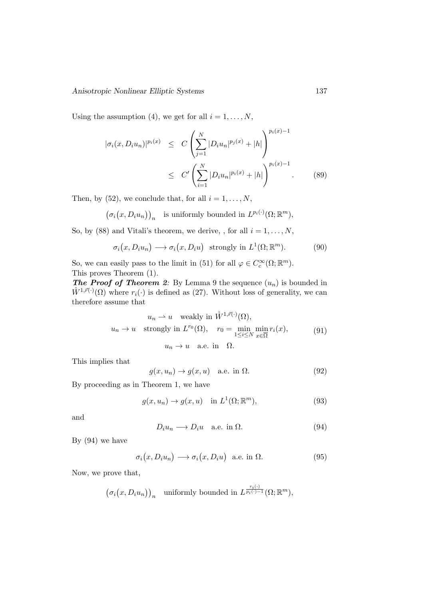Using the assumption (4), we get for all  $i = 1, \ldots, N$ ,

$$
|\sigma_i(x, D_i u_n)|^{p_i(x)} \le C \left( \sum_{j=1}^N |D_i u_n|^{p_j(x)} + |h| \right)^{p_i(x)-1}
$$
  
 
$$
\le C' \left( \sum_{i=1}^N |D_i u_n|^{p_i(x)} + |h| \right)^{p_i(x)-1}.
$$
 (89)

Then, by (52), we conclude that, for all  $i = 1, \ldots, N$ ,

 $(\sigma_i(x, D_i u_n))_n$  is uniformly bounded in  $L^{p_i(\cdot)}(\Omega; \mathbb{R}^m)$ ,

So, by (88) and Vitali's theorem, we derive, , for all  $i = 1, \ldots, N$ ,

$$
\sigma_i(x, D_i u_n) \longrightarrow \sigma_i(x, D_i u) \text{ strongly in } L^1(\Omega; \mathbb{R}^m). \tag{90}
$$

So, we can easily pass to the limit in (51) for all  $\varphi \in C_c^{\infty}(\Omega; \mathbb{R}^m)$ . This proves Theorem (1).

**The Proof of Theorem 2:** By Lemma 9 the sequence  $(u_n)$  is bounded in  $\mathring{W}^{1,\vec{r}(\cdot)}(\Omega)$  where  $r_i(\cdot)$  is defined as (27). Without loss of generality, we can therefore assume that

$$
u_n \to u \quad \text{weakly in } \mathring{W}^{1,\vec{r}(\cdot)}(\Omega),
$$
  

$$
u_n \to u \quad \text{strongly in } L^{r_0}(\Omega), \quad r_0 = \min_{1 \le i \le N} \min_{x \in \overline{\Omega}} r_i(x),
$$
  

$$
u_n \to u \quad \text{a.e. in } \Omega.
$$
 (91)

This implies that

$$
g(x, u_n) \to g(x, u) \quad \text{a.e. in } \Omega. \tag{92}
$$

By proceeding as in Theorem 1, we have

$$
g(x, u_n) \to g(x, u) \quad \text{in } L^1(\Omega; \mathbb{R}^m), \tag{93}
$$

and

$$
D_i u_n \longrightarrow D_i u \quad \text{a.e. in } \Omega. \tag{94}
$$

 $\sim$ 

By (94) we have

$$
\sigma_i(x, D_i u_n) \longrightarrow \sigma_i(x, D_i u) \quad \text{a.e. in } \Omega. \tag{95}
$$

Now, we prove that,

$$
(\sigma_i(x, D_i u_n))_n
$$
 uniformly bounded in  $L^{\frac{r_i(\cdot)}{p_i(\cdot)-1}}(\Omega; \mathbb{R}^m)$ ,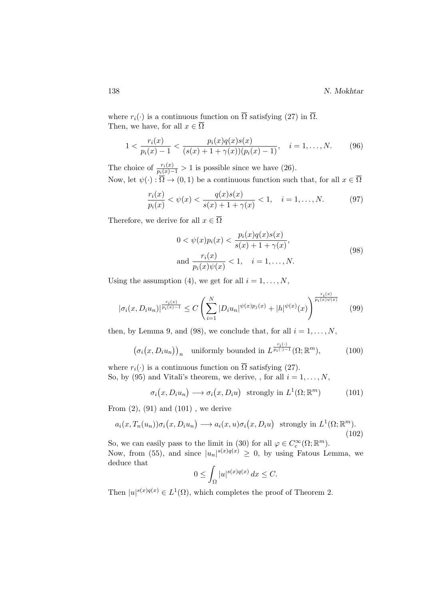where  $r_i(\cdot)$  is a continuous function on  $\overline{\Omega}$  satisfying (27) in  $\overline{\Omega}$ . Then, we have, for all  $x \in \overline{\Omega}$ 

$$
1 < \frac{r_i(x)}{p_i(x) - 1} < \frac{p_i(x)q(x)s(x)}{(s(x) + 1 + \gamma(x))(p_i(x) - 1)}, \quad i = 1, \dots, N. \tag{96}
$$

The choice of  $\frac{r_i(x)}{p_i(x)-1} > 1$  is possible since we have (26). Now, let  $\psi(\cdot) : \overleftrightarrow{\Omega} \to (0,1)$  be a continuous function such that, for all  $x \in \overline{\Omega}$ 

$$
\frac{r_i(x)}{p_i(x)} < \psi(x) < \frac{q(x)s(x)}{s(x) + 1 + \gamma(x)} < 1, \quad i = 1, \dots, N. \tag{97}
$$

Therefore, we derive for all  $x \in \overline{\Omega}$ 

$$
0 < \psi(x)p_i(x) < \frac{p_i(x)q(x)s(x)}{s(x) + 1 + \gamma(x)},
$$
\n
$$
\text{and } \frac{r_i(x)}{p_i(x)\psi(x)} < 1, \quad i = 1, \dots, N. \tag{98}
$$

Using the assumption (4), we get for all  $i = 1, \ldots, N$ ,

$$
|\sigma_i(x, D_i u_n)|^{\frac{r_i(x)}{p_i(x)-1}} \le C \left( \sum_{i=1}^N |D_i u_n|^{\psi(x)p_j(x)} + |h|^{\psi(x)} (x) \right)^{\frac{r_i(x)}{p_i(x)\psi(x)}} \tag{99}
$$

then, by Lemma 9, and (98), we conclude that, for all  $i = 1, \ldots, N$ ,

$$
(\sigma_i(x, D_i u_n))_n \quad \text{uniformly bounded in } L^{\frac{r_i(\cdot)}{p_i(\cdot)-1}}(\Omega; \mathbb{R}^m), \tag{100}
$$

where  $r_i(\cdot)$  is a continuous function on  $\overline{\Omega}$  satisfying (27). So, by (95) and Vitali's theorem, we derive, , for all  $i = 1, \ldots, N$ ,

$$
\sigma_i(x, D_i u_n) \longrightarrow \sigma_i(x, D_i u) \text{ strongly in } L^1(\Omega; \mathbb{R}^m)
$$
 (101)

From  $(2)$ ,  $(91)$  and  $(101)$ , we derive

$$
a_i(x, T_n(u_n))\sigma_i(x, D_i u_n) \longrightarrow a_i(x, u)\sigma_i(x, D_i u) \text{ strongly in } L^1(\Omega; \mathbb{R}^m). \tag{102}
$$

So, we can easily pass to the limit in (30) for all  $\varphi \in C_c^{\infty}(\Omega; \mathbb{R}^m)$ . Now, from (55), and since  $|u_n|^{s(x)q(x)} \geq 0$ , by using Fatous Lemma, we deduce that

$$
0 \le \int_{\Omega} |u|^{s(x)q(x)} dx \le C.
$$

Then  $|u|^{s(x)q(x)} \in L^1(\Omega)$ , which completes the proof of Theorem 2.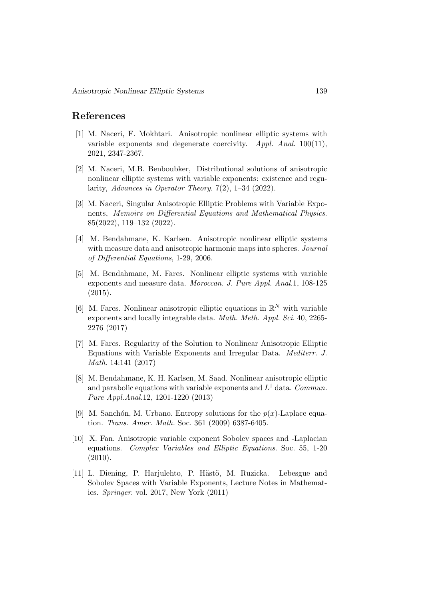# References

- [1] M. Naceri, F. Mokhtari. Anisotropic nonlinear elliptic systems with variable exponents and degenerate coercivity. Appl. Anal. 100(11), 2021, 2347-2367.
- [2] M. Naceri, M.B. Benboubker, Distributional solutions of anisotropic nonlinear elliptic systems with variable exponents: existence and regularity, Advances in Operator Theory. 7(2), 1–34 (2022).
- [3] M. Naceri, Singular Anisotropic Elliptic Problems with Variable Exponents, Memoirs on Differential Equations and Mathematical Physics. 85(2022), 119–132 (2022).
- [4] M. Bendahmane, K. Karlsen. Anisotropic nonlinear elliptic systems with measure data and anisotropic harmonic maps into spheres. Journal of Differential Equations, 1-29, 2006.
- [5] M. Bendahmane, M. Fares. Nonlinear elliptic systems with variable exponents and measure data. Moroccan. J. Pure Appl. Anal.1, 108-125  $(2015).$
- [6] M. Fares. Nonlinear anisotropic elliptic equations in  $\mathbb{R}^N$  with variable exponents and locally integrable data. Math. Meth. Appl. Sci. 40, 2265-2276 (2017)
- [7] M. Fares. Regularity of the Solution to Nonlinear Anisotropic Elliptic Equations with Variable Exponents and Irregular Data. Mediterr. J. Math. 14:141 (2017)
- [8] M. Bendahmane, K. H. Karlsen, M. Saad. Nonlinear anisotropic elliptic and parabolic equations with variable exponents and  $L^1$  data. Commun. Pure Appl.Anal.12, 1201-1220 (2013)
- [9] M. Sanchón, M. Urbano. Entropy solutions for the  $p(x)$ -Laplace equation. Trans. Amer. Math. Soc. 361 (2009) 6387-6405.
- [10] X. Fan. Anisotropic variable exponent Sobolev spaces and -Laplacian equations. Complex Variables and Elliptic Equations. Soc. 55, 1-20 (2010).
- [11] L. Diening, P. Harjulehto, P. Hästö, M. Ruzicka. Lebesgue and Sobolev Spaces with Variable Exponents, Lecture Notes in Mathematics. Springer. vol. 2017, New York (2011)